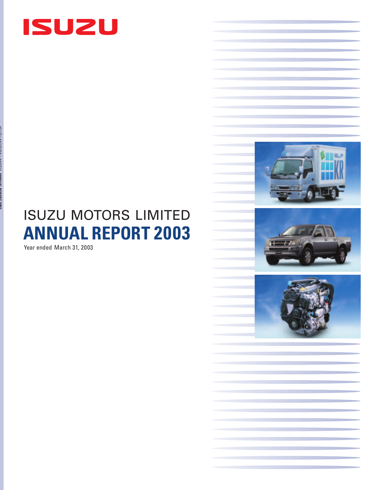

# **ANNUAL REPORT 2003** ISUZU MOTORS LIMITED

Year ended March 31, 2003

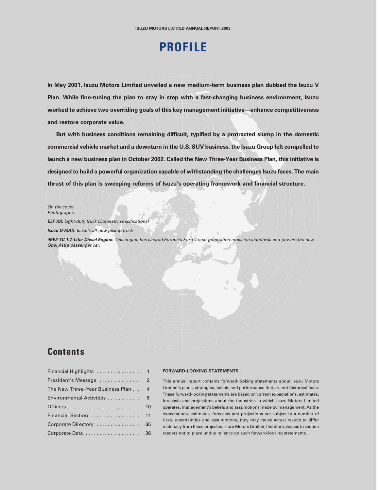## **PROFILE**

**In May 2001, Isuzu Motors Limited unveiled a new medium-term business plan dubbed the Isuzu V Plan. While fine-tuning the plan to stay in step with a fast-changing business environment, Isuzu worked to achieve two overriding goals of this key management initiative—enhance competitiveness and restore corporate value.**

**But with business conditions remaining difficult, typified by a protracted slump in the domestic commercial vehicle market and a downturn in the U.S. SUV business, the Isuzu Group felt compelled to launch a new business plan in October 2002. Called the New Three-Year Business Plan, this initiative is designed to build a powerful organization capable of withstanding the challenges Isuzu faces. The main thrust of this plan is sweeping reforms of Isuzu's operating framework and financial structure.**

On the cover Photographs:

**ELF KR:** Light-duty truck (Domestic specifications)

**Isuzu D-MAX:** Isuzu's all-new pickup truck

**4EE2-TC 1.7-Liter Diesel Engine:** This engine has cleared Europe's Euro 4 next-generation emission standards and powers the new Opel Astra passenger car.

### **Contents**

| The New Three-Year Business Plan  4 |    |
|-------------------------------------|----|
| Environmental Activities  8         |    |
|                                     | 10 |
| Financial Section  11               |    |
| Corporate Directory  35             |    |
| Corporate Data  36                  |    |

#### **FORWARD-LOOKING STATEMENTS**

This annual report contains forward-looking statements about Isuzu Motors Limited's plans, strategies, beliefs and performance that are not historical facts. These forward-looking statements are based on current expectations, estimates, forecasts and projections about the industries in which Isuzu Motors Limited operates, management's beliefs and assumptions made by management. As the expectations, estimates, forecasts and projections are subject to a number of risks, uncertainties and assumptions, they may cause actual results to differ materially from those projected. Isuzu Motors Limited, therefore, wishes to caution readers not to place undue reliance on such forward-looking statements.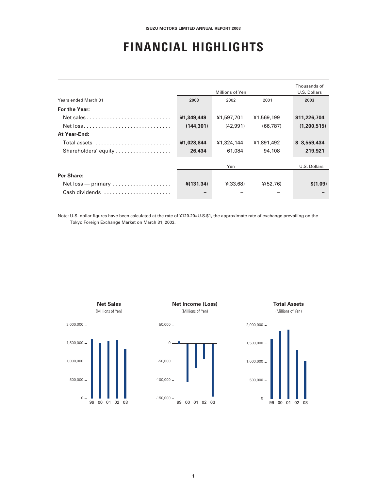## **FINANCIAL HIGHLIGHTS**

| Years ended March 31                                      | 2003        | Millions of Yen<br>2002                 | 2001       | Thousands of<br>U.S. Dollars<br>2003 |
|-----------------------------------------------------------|-------------|-----------------------------------------|------------|--------------------------------------|
| For the Year:                                             |             |                                         |            |                                      |
|                                                           | ¥1,349,449  | ¥1,597,701                              | ¥1,569,199 | \$11,226,704                         |
|                                                           | (144, 301)  | (42.991)                                | (66.787)   | (1,200,515)                          |
| At Year-End:                                              |             |                                         |            |                                      |
| Total assets                                              | ¥1,028,844  | ¥1,324,144                              | ¥1,891,492 | \$8,559,434                          |
| Shareholders' equity                                      | 26,434      | 61,084                                  | 94,108     | 219,921                              |
|                                                           |             | Yen                                     |            | U.S. Dollars                         |
| Per Share:                                                |             |                                         |            |                                      |
| $Net loss$ - primary $\ldots \ldots \ldots \ldots \ldots$ | $*(131.34)$ | $\frac{\mathsf{4}}{\mathsf{4}}$ (33.68) | ¥(52.76)   | \$(1.09)                             |
| Cash dividends                                            |             |                                         |            |                                      |

Note: U.S. dollar figures have been calculated at the rate of ¥120.20=U.S.\$1, the approximate rate of exchange prevailing on the Tokyo Foreign Exchange Market on March 31, 2003.

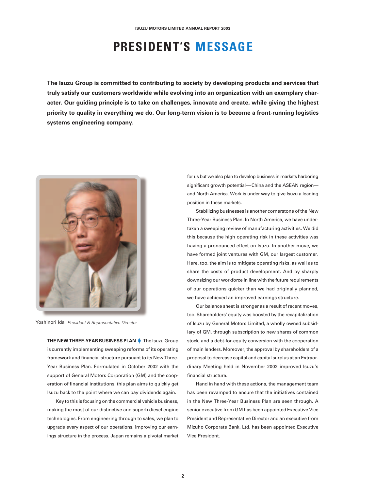## **PRESIDENT'S MESSAGE**

**The Isuzu Group is committed to contributing to society by developing products and services that truly satisfy our customers worldwide while evolving into an organization with an exemplary character. Our guiding principle is to take on challenges, innovate and create, while giving the highest priority to quality in everything we do. Our long-term vision is to become a front-running logistics systems engineering company.**



Yoshinori Ida President & Representative Director

**THE NEW THREE-YEAR BUSINESS PLAN** The Isuzu Group is currently implementing sweeping reforms of its operating framework and financial structure pursuant to its New Three-Year Business Plan. Formulated in October 2002 with the support of General Motors Corporation (GM) and the cooperation of financial institutions, this plan aims to quickly get Isuzu back to the point where we can pay dividends again.

Key to this is focusing on the commercial vehicle business, making the most of our distinctive and superb diesel engine technologies. From engineering through to sales, we plan to upgrade every aspect of our operations, improving our earnings structure in the process. Japan remains a pivotal market

for us but we also plan to develop business in markets harboring significant growth potential—China and the ASEAN region and North America. Work is under way to give Isuzu a leading position in these markets.

Stabilizing businesses is another cornerstone of the New Three-Year Business Plan. In North America, we have undertaken a sweeping review of manufacturing activities. We did this because the high operating risk in these activities was having a pronounced effect on Isuzu. In another move, we have formed joint ventures with GM, our largest customer. Here, too, the aim is to mitigate operating risks, as well as to share the costs of product development. And by sharply downsizing our workforce in line with the future requirements of our operations quicker than we had originally planned, we have achieved an improved earnings structure.

Our balance sheet is stronger as a result of recent moves, too. Shareholders' equity was boosted by the recapitalization of Isuzu by General Motors Limited, a wholly owned subsidiary of GM, through subscription to new shares of common stock, and a debt-for-equity conversion with the cooperation of main lenders. Moreover, the approval by shareholders of a proposal to decrease capital and capital surplus at an Extraordinary Meeting held in November 2002 improved Isuzu's financial structure.

Hand in hand with these actions, the management team has been revamped to ensure that the initiatives contained in the New Three-Year Business Plan are seen through. A senior executive from GM has been appointed Executive Vice President and Representative Director and an executive from Mizuho Corporate Bank, Ltd. has been appointed Executive Vice President.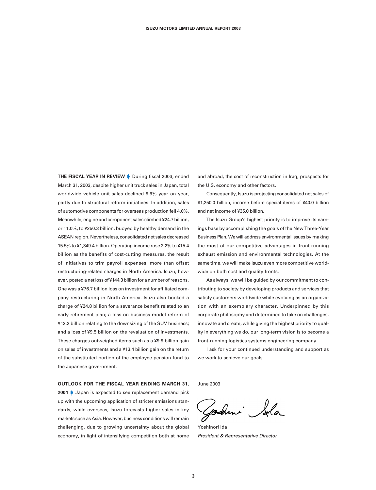**THE FISCAL YEAR IN REVIEW During fiscal 2003, ended** March 31, 2003, despite higher unit truck sales in Japan, total worldwide vehicle unit sales declined 9.9% year on year, partly due to structural reform initiatives. In addition, sales of automotive components for overseas production fell 4.0%. Meanwhile, engine and component sales climbed ¥24.7 billion, or 11.0%, to ¥250.3 billion, buoyed by healthy demand in the ASEAN region. Nevertheless, consolidated net sales decreased 15.5% to ¥1,349.4 billion. Operating income rose 2.2% to ¥15.4 billion as the benefits of cost-cutting measures, the result of initiatives to trim payroll expenses, more than offset restructuring-related charges in North America. Isuzu, however, posted a net loss of ¥144.3 billion for a number of reasons. One was a ¥76.7 billion loss on investment for affiliated company restructuring in North America. Isuzu also booked a charge of ¥24.8 billion for a severance benefit related to an early retirement plan; a loss on business model reform of ¥12.2 billion relating to the downsizing of the SUV business; and a loss of ¥9.5 billion on the revaluation of investments. These charges outweighed items such as a ¥9.9 billion gain on sales of investments and a ¥13.4 billion gain on the return of the substituted portion of the employee pension fund to the Japanese government.

**OUTLOOK FOR THE FISCAL YEAR ENDING MARCH 31,**

**2004** Japan is expected to see replacement demand pick up with the upcoming application of stricter emissions standards, while overseas, Isuzu forecasts higher sales in key markets such as Asia. However, business conditions will remain challenging, due to growing uncertainty about the global economy, in light of intensifying competition both at home

and abroad, the cost of reconstruction in Iraq, prospects for the U.S. economy and other factors.

Consequently, Isuzu is projecting consolidated net sales of ¥1,250.0 billion, income before special items of ¥40.0 billion and net income of ¥35.0 billion.

The Isuzu Group's highest priority is to improve its earnings base by accomplishing the goals of the New Three-Year Business Plan. We will address environmental issues by making the most of our competitive advantages in front-running exhaust emission and environmental technologies. At the same time, we will make Isuzu even more competitive worldwide on both cost and quality fronts.

As always, we will be guided by our commitment to contributing to society by developing products and services that satisfy customers worldwide while evolving as an organization with an exemplary character. Underpinned by this corporate philosophy and determined to take on challenges, innovate and create, while giving the highest priority to quality in everything we do, our long-term vision is to become a front-running logistics systems engineering company.

I ask for your continued understanding and support as we work to achieve our goals.

June 2003

Godmi Sola

Yoshinori Ida President & Representative Director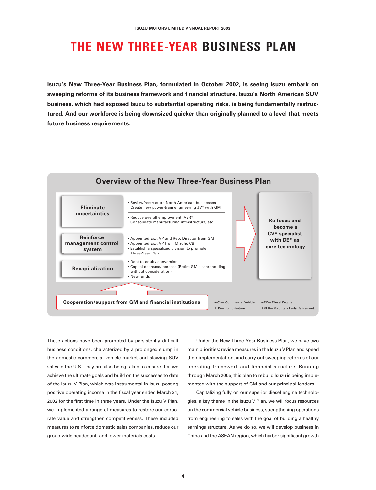## **THE NEW THREE-YEAR BUSINESS PLAN**

**Isuzu's New Three-Year Business Plan, formulated in October 2002, is seeing Isuzu embark on sweeping reforms of its business framework and financial structure. Isuzu's North American SUV business, which had exposed Isuzu to substantial operating risks, is being fundamentally restructured. And our workforce is being downsized quicker than originally planned to a level that meets future business requirements.**



These actions have been prompted by persistently difficult business conditions, characterized by a prolonged slump in the domestic commercial vehicle market and slowing SUV sales in the U.S. They are also being taken to ensure that we achieve the ultimate goals and build on the successes to date of the Isuzu V Plan, which was instrumental in Isuzu posting positive operating income in the fiscal year ended March 31, 2002 for the first time in three years. Under the Isuzu V Plan, we implemented a range of measures to restore our corporate value and strengthen competitiveness. These included measures to reinforce domestic sales companies, reduce our group-wide headcount, and lower materials costs.

Under the New Three-Year Business Plan, we have two main priorities: revise measures in the Isuzu V Plan and speed their implementation, and carry out sweeping reforms of our operating framework and financial structure. Running through March 2005, this plan to rebuild Isuzu is being implemented with the support of GM and our principal lenders.

Capitalizing fully on our superior diesel engine technologies, a key theme in the Isuzu V Plan, we will focus resources on the commercial vehicle business, strengthening operations from engineering to sales with the goal of building a healthy earnings structure. As we do so, we will develop business in China and the ASEAN region, which harbor significant growth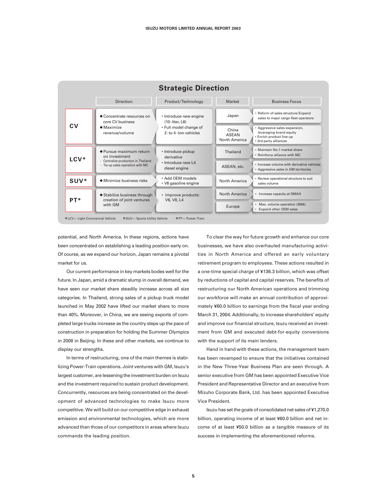

potential, and North America. In these regions, actions have been concentrated on establishing a leading position early on. Of course, as we expand our horizon, Japan remains a pivotal market for us.

Our current performance in key markets bodes well for the future. In Japan, amid a dramatic slump in overall demand, we have seen our market share steadily increase across all size categories. In Thailand, strong sales of a pickup truck model launched in May 2002 have lifted our market share to more than 40%. Moreover, in China, we are seeing exports of completed large trucks increase as the country steps up the pace of construction in preparation for holding the Summer Olympics in 2008 in Beijing. In these and other markets, we continue to display our strengths.

In terms of restructuring, one of the main themes is stabilizing Power-Train operations. Joint ventures with GM, Isuzu's largest customer, are lessening the investment burden on Isuzu and the investment required to sustain product development. Concurrently, resources are being concentrated on the development of advanced technologies to make Isuzu more competitive. We will build on our competitive edge in exhaust emission and environmental technologies, which are more advanced than those of our competitors in areas where Isuzu commands the leading position.

To clear the way for future growth and enhance our core businesses, we have also overhauled manufacturing activities in North America and offered an early voluntary retirement program to employees. These actions resulted in a one-time special charge of ¥136.3 billion, which was offset by reductions of capital and capital reserves. The benefits of restructuring our North American operations and trimming our workforce will make an annual contribution of approximately ¥60.0 billion to earnings from the fiscal year ending March 31, 2004. Additionally, to increase shareholders' equity and improve our financial structure, Isuzu received an investment from GM and executed debt-for-equity conversions with the support of its main lenders.

Hand in hand with these actions, the management team has been revamped to ensure that the initiatives contained in the New Three-Year Business Plan are seen through. A senior executive from GM has been appointed Executive Vice President and Representative Director and an executive from Mizuho Corporate Bank, Ltd. has been appointed Executive Vice President.

Isuzu has set the goals of consolidated net sales of ¥1,270.0 billion, operating income of at least ¥60.0 billion and net income of at least ¥50.0 billion as a tangible measure of its success in implementing the aforementioned reforms.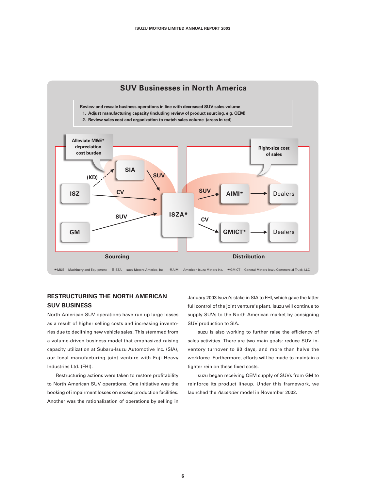

### **RESTRUCTURING THE NORTH AMERICAN SUV BUSINESS**

North American SUV operations have run up large losses as a result of higher selling costs and increasing inventories due to declining new vehicle sales. This stemmed from a volume-driven business model that emphasized raising capacity utilization at Subaru-Isuzu Automotive Inc. (SIA), our local manufacturing joint venture with Fuji Heavy Industries Ltd. (FHI).

Restructuring actions were taken to restore profitability to North American SUV operations. One initiative was the booking of impairment losses on excess production facilities. Another was the rationalization of operations by selling in January 2003 Isuzu's stake in SIA to FHI, which gave the latter full control of the joint venture's plant. Isuzu will continue to supply SUVs to the North American market by consigning SUV production to SIA.

Isuzu is also working to further raise the efficiency of sales activities. There are two main goals: reduce SUV inventory turnover to 90 days, and more than halve the workforce. Furthermore, efforts will be made to maintain a tighter rein on these fixed costs.

Isuzu began receiving OEM supply of SUVs from GM to reinforce its product lineup. Under this framework, we launched the Ascender model in November 2002.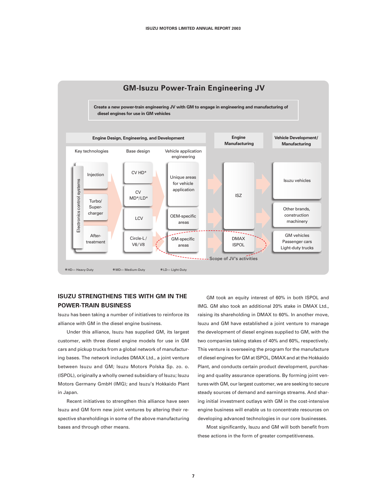

#### **ISUZU STRENGTHENS TIES WITH GM IN THE POWER-TRAIN BUSINESS**

Isuzu has been taking a number of initiatives to reinforce its alliance with GM in the diesel engine business.

Under this alliance, Isuzu has supplied GM, its largest customer, with three diesel engine models for use in GM cars and pickup trucks from a global network of manufacturing bases. The network includes DMAX Ltd., a joint venture between Isuzu and GM; Isuzu Motors Polska Sp. zo. o. (ISPOL), originally a wholly owned subsidiary of Isuzu; Isuzu Motors Germany GmbH (IMG); and Isuzu's Hokkaido Plant in Japan.

Recent initiatives to strengthen this alliance have seen Isuzu and GM form new joint ventures by altering their respective shareholdings in some of the above manufacturing bases and through other means.

GM took an equity interest of 60% in both ISPOL and IMG. GM also took an additional 20% stake in DMAX Ltd., raising its shareholding in DMAX to 60%. In another move, Isuzu and GM have established a joint venture to manage the development of diesel engines supplied to GM, with the two companies taking stakes of 40% and 60%, respectively. This venture is overseeing the program for the manufacture of diesel engines for GM at ISPOL, DMAX and at the Hokkaido Plant, and conducts certain product development, purchasing and quality assurance operations. By forming joint ventures with GM, our largest customer, we are seeking to secure steady sources of demand and earnings streams. And sharing initial investment outlays with GM in the cost-intensive engine business will enable us to concentrate resources on developing advanced technologies in our core businesses.

Most significantly, Isuzu and GM will both benefit from these actions in the form of greater competitiveness.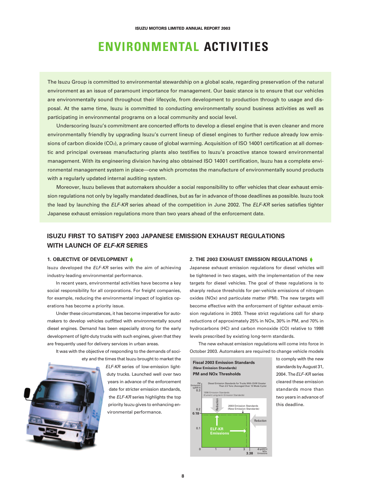## **ENVIRONMENTAL ACTIVITIES**

The Isuzu Group is committed to environmental stewardship on a global scale, regarding preservation of the natural environment as an issue of paramount importance for management. Our basic stance is to ensure that our vehicles are environmentally sound throughout their lifecycle, from development to production through to usage and disposal. At the same time, Isuzu is committed to conducting environmentally sound business activities as well as participating in environmental programs on a local community and social level.

Underscoring Isuzu's commitment are concerted efforts to develop a diesel engine that is even cleaner and more environmentally friendly by upgrading Isuzu's current lineup of diesel engines to further reduce already low emissions of carbon dioxide (CO<sub>2</sub>), a primary cause of global warming. Acquisition of ISO 14001 certification at all domestic and principal overseas manufacturing plants also testifies to Isuzu's proactive stance toward environmental management. With its engineering division having also obtained ISO 14001 certification, Isuzu has a complete environmental management system in place—one which promotes the manufacture of environmentally sound products with a regularly updated internal auditing system.

Moreover, Isuzu believes that automakers shoulder a social responsibility to offer vehicles that clear exhaust emission regulations not only by legally mandated deadlines, but as far in advance of those deadlines as possible. Isuzu took the lead by launching the ELF-KR series ahead of the competition in June 2002. The ELF-KR series satisfies tighter Japanese exhaust emission regulations more than two years ahead of the enforcement date.

### **ISUZU FIRST TO SATISFY 2003 JAPANESE EMISSION EXHAUST REGULATIONS WITH LAUNCH OF ELF-KR SERIES**

#### **1. OBJECTIVE OF DEVELOPMENT**

Isuzu developed the ELF-KR series with the aim of achieving industry-leading environmental performance.

In recent years, environmental activities have become a key social responsibility for all corporations. For freight companies, for example, reducing the environmental impact of logistics operations has become a priority issue.

Under these circumstances, it has become imperative for automakers to develop vehicles outfitted with environmentally sound diesel engines. Demand has been especially strong for the early development of light-duty trucks with such engines, given that they are frequently used for delivery services in urban areas.

It was with the objective of responding to the demands of society and the times that Isuzu brought to market the



ELF-KR series of low-emission lightduty trucks. Launched well over two years in advance of the enforcement date for stricter emission standards, the ELF-KR series highlights the top priority Isuzu gives to enhancing environmental performance.

#### **2. THE 2003 EXHAUST EMISSION REGULATIONS**

Japanese exhaust emission regulations for diesel vehicles will be tightened in two stages, with the implementation of the new targets for diesel vehicles. The goal of these regulations is to sharply reduce thresholds for per-vehicle emissions of nitrogen oxides (NOx) and particulate matter (PM). The new targets will become effective with the enforcement of tighter exhaust emission regulations in 2003. These strict regulations call for sharp reductions of approximately 25% in NOx, 30% in PM, and 70% in hydrocarbons (HC) and carbon monoxide (CO) relative to 1998 levels prescribed by existing long-term standards.

The new exhaust emission regulations will come into force in October 2003. Automakers are required to change vehicle models



to comply with the new standards by August 31, 2004 The FLF-KR series cleared these emission standards more than two years in advance of this deadline.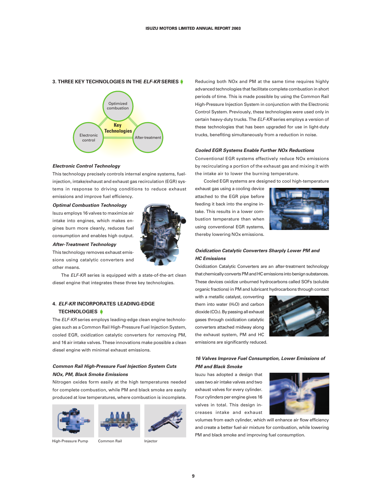#### **3. THREE KEY TECHNOLOGIES IN THE ELF-KR SERIES**



#### **Electronic Control Technology**

This technology precisely controls internal engine systems, fuelinjection, intake/exhaust and exhaust gas recirculation (EGR) systems in response to driving conditions to reduce exhaust emissions and improve fuel efficiency.

#### **Optimal Combustion Technology**

Isuzu employs 16 valves to maximize air intake into engines, which makes engines burn more cleanly, reduces fuel consumption and enables high output.

**After-Treatment Technology**

This technology removes exhaust emissions using catalytic converters and other means.

The ELF-KR series is equipped with a state-of-the-art clean diesel engine that integrates these three key technologies.

#### **4. ELF-KR INCORPORATES LEADING-EDGE TECHNOLOGIES**

The ELF-KR series employs leading-edge clean engine technologies such as a Common Rail High-Pressure Fuel Injection System, cooled EGR, oxidization catalytic converters for removing PM, and 16 air intake valves. These innovations make possible a clean diesel engine with minimal exhaust emissions.

#### **Common Rail High-Pressure Fuel Injection System Cuts NOx, PM, Black Smoke Emissions**

Nitrogen oxides form easily at the high temperatures needed for complete combustion, while PM and black smoke are easily produced at low temperatures, where combustion is incomplete.







High-Pressure Pump Common Rail **Injector** 

Reducing both NOx and PM at the same time requires highly advanced technologies that facilitate complete combustion in short periods of time. This is made possible by using the Common Rail High-Pressure Injection System in conjunction with the Electronic Control System. Previously, these technologies were used only in certain heavy-duty trucks. The ELF-KR series employs a version of these technologies that has been upgraded for use in light-duty trucks, benefiting simultaneously from a reduction in noise.

#### **Cooled EGR Systems Enable Further NOx Reductions**

Conventional EGR systems effectively reduce NOx emissions by recirculating a portion of the exhaust gas and mixing it with the intake air to lower the burning temperature.

Cooled EGR systems are designed to cool high-temperature

exhaust gas using a cooling device attached to the EGR pipe before feeding it back into the engine intake. This results in a lower combustion temperature than when using conventional EGR systems, thereby lowering NOx emissions.



#### **Oxidization Catalytic Converters Sharply Lower PM and HC Emissions**

Oxidization Catalytic Converters are an after-treatment technology that chemically converts PM and HC emissions into benign substances. These devices oxidize unburned hydrocarbons called SOFs (soluble organic fractions) in PM and lubricant hydrocarbons through contact

with a metallic catalyst, converting them into water (H<sub>2</sub>O) and carbon dioxide (CO2). By passing all exhaust gases through oxidization catalytic converters attached midway along the exhaust system, PM and HC emissions are significantly reduced.



#### **16 Valves Improve Fuel Consumption, Lower Emissions of PM and Black Smoke**

Isuzu has adopted a design that uses two air intake valves and two exhaust valves for every cylinder. Four cylinders per engine gives 16 valves in total. This design increases intake and exhaust



volumes from each cylinder, which will enhance air flow efficiency and create a better fuel-air mixture for combustion, while lowering PM and black smoke and improving fuel consumption.

**9**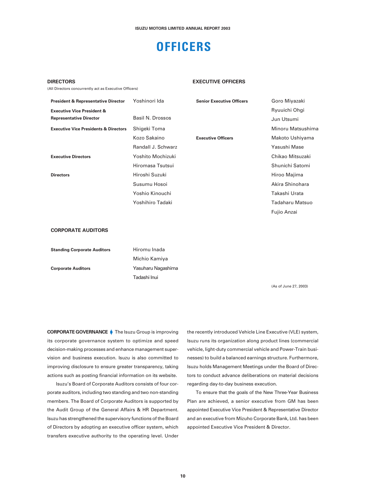## **OFFICERS**

#### **DIRECTORS**

(All Directors concurrently act as Executive Officers)

#### **EXECUTIVE OFFICERS**

| <b>President &amp; Representative Director</b>   | Yoshinori Ida      | <b>Senior Executive Officers</b> | Goro Miyazaki     |
|--------------------------------------------------|--------------------|----------------------------------|-------------------|
| <b>Executive Vice President &amp;</b>            |                    |                                  | Ryuuichi Ohgi     |
| <b>Representative Director</b>                   | Basil N. Drossos   |                                  | Jun Utsumi        |
| <b>Executive Vice Presidents &amp; Directors</b> | Shigeki Toma       |                                  | Minoru Matsushima |
|                                                  | Kozo Sakaino       | <b>Executive Officers</b>        | Makoto Ushiyama   |
|                                                  | Randall J. Schwarz |                                  | Yasushi Mase      |
| <b>Executive Directors</b>                       | Yoshito Mochizuki  |                                  | Chikao Mitsuzaki  |
|                                                  | Hiromasa Tsutsui   |                                  | Shunichi Satomi   |
| <b>Directors</b>                                 | Hiroshi Suzuki     |                                  | Hiroo Majima      |
|                                                  | Susumu Hosoi       |                                  | Akira Shinohara   |
|                                                  | Yoshio Kinouchi    |                                  | Takashi Urata     |
|                                                  | Yoshihiro Tadaki   |                                  | Tadaharu Matsuo   |
|                                                  |                    |                                  | Fujio Anzai       |
|                                                  |                    |                                  |                   |
| CODDODATE ALINITODE                              |                    |                                  |                   |

#### **CORPORATE AUDITORS**

| <b>Standing Corporate Auditors</b> | Hiromu Inada       |
|------------------------------------|--------------------|
|                                    | Michio Kamiya      |
| <b>Corporate Auditors</b>          | Yasuharu Nagashima |
|                                    | Tadashi Inui       |

(As of June 27, 2003)

**CORPORATE GOVERNANCE** The Isuzu Group is improving its corporate governance system to optimize and speed decision-making processes and enhance management supervision and business execution. Isuzu is also committed to improving disclosure to ensure greater transparency, taking actions such as posting financial information on its website.

Isuzu's Board of Corporate Auditors consists of four corporate auditors, including two standing and two non-standing members. The Board of Corporate Auditors is supported by the Audit Group of the General Affairs & HR Department. Isuzu has strengthened the supervisory functions of the Board of Directors by adopting an executive officer system, which transfers executive authority to the operating level. Under the recently introduced Vehicle Line Executive (VLE) system, Isuzu runs its organization along product lines (commercial vehicle, light-duty commercial vehicle and Power-Train businesses) to build a balanced earnings structure. Furthermore, Isuzu holds Management Meetings under the Board of Directors to conduct advance deliberations on material decisions regarding day-to-day business execution.

To ensure that the goals of the New Three-Year Business Plan are achieved, a senior executive from GM has been appointed Executive Vice President & Representative Director and an executive from Mizuho Corporate Bank, Ltd. has been appointed Executive Vice President & Director.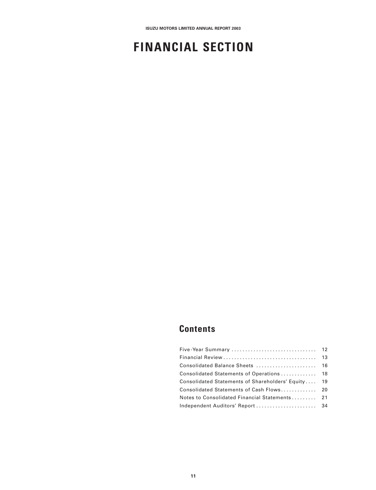## **FINANCIAL SECTION**

## **Contents**

| Consolidated Statements of Shareholders' Equity 19 |  |
|----------------------------------------------------|--|
| Consolidated Statements of Cash Flows 20           |  |
| Notes to Consolidated Financial Statements 21      |  |
|                                                    |  |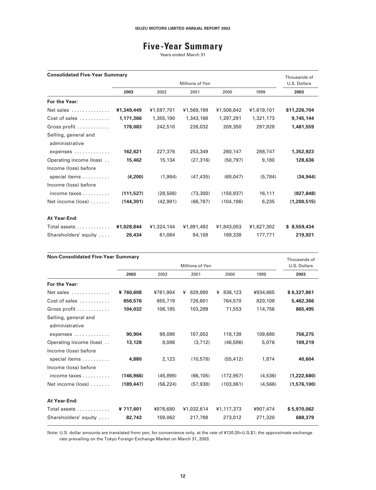## **Five-Year Summary**

Years ended March 31

| <b>Consolidated Five-Year Summary</b><br>Thousands of |            |            |                 |            |            |              |
|-------------------------------------------------------|------------|------------|-----------------|------------|------------|--------------|
|                                                       |            |            | Millions of Yen |            |            | U.S. Dollars |
|                                                       | 2003       | 2002       | 2001            | 2000       | 1999       | 2003         |
| For the Year:                                         |            |            |                 |            |            |              |
| Net sales                                             | ¥1,349,449 | ¥1,597,701 | ¥1,569,199      | ¥1,506,642 | ¥1,619,101 | \$11,226,704 |
| Cost of sales                                         | 1,171,366  | 1,355,190  | 1,343,166       | 1,297,291  | 1,321,173  | 9,745,144    |
| Gross profit                                          | 178,083    | 242,510    | 226,032         | 209,350    | 297,928    | 1,481,559    |
| Selling, general and<br>administrative                |            |            |                 |            |            |              |
| expenses                                              | 162,621    | 227,376    | 253,349         | 260,147    | 288,747    | 1,352,923    |
| Operating income (loss)                               | 15,462     | 15,134     | (27, 316)       | (50, 797)  | 9,180      | 128,636      |
| Income (loss) before<br>special items                 | (4,200)    | (1,984)    | (47, 435)       | (68, 047)  | (5, 784)   | (34, 944)    |
| Income (loss) before                                  |            |            |                 |            |            |              |
| income taxes                                          | (111, 527) | (28, 506)  | (73, 300)       | (150, 937) | 16,111     | (927, 848)   |
| Net income (loss)                                     | (144, 301) | (42, 991)  | (66, 787)       | (104.186)  | 6,235      | (1,200,515)  |
| At Year-End:                                          |            |            |                 |            |            |              |
| Total assets                                          | ¥1,028,844 | ¥1,324,144 | ¥1,891,492      | ¥1,843,053 | ¥1,627,302 | \$8,559,434  |
| Shareholders' equity                                  | 26,434     | 61,084     | 94,108          | 169,338    | 177.771    | 219,921      |

| <b>Non-Consolidated Five-Year Summary</b><br>Thousands of |            |           |                 |              |          |              |
|-----------------------------------------------------------|------------|-----------|-----------------|--------------|----------|--------------|
|                                                           |            |           | Millions of Yen |              |          | U.S. Dollars |
|                                                           | 2003       | 2002      | 2001            | 2000         | 1999     | 2003         |
| For the Year:                                             |            |           |                 |              |          |              |
| Net sales                                                 | ¥760,608   | ¥761,904  | ¥ 829,890       | 836,123<br>¥ | ¥934,865 | \$6,327,861  |
| Cost of sales $\dots\dots\dots$                           | 656,576    | 655,719   | 726,601         | 764,570      | 820,108  | 5,462,366    |
| Gross profit                                              | 104,032    | 106,185   | 103,289         | 71,553       | 114,756  | 865,495      |
| Selling, general and<br>administrative                    |            |           |                 |              |          |              |
| expenses                                                  | 90,904     | 98,098    | 107,002         | 118,139      | 109,680  | 756,275      |
| Operating income (loss)                                   | 13,128     | 8,086     | (3,712)         | (46,586)     | 5,076    | 109,219      |
| Income (loss) before                                      |            |           |                 |              |          |              |
| special items                                             | 4,880      | 2,123     | (10, 578)       | (55, 412)    | 1,874    | 40,604       |
| Income (loss) before                                      |            |           |                 |              |          |              |
| income taxes $\ldots \ldots \ldots$                       | (146, 966) | (45,898)  | (66, 105)       | (172, 957)   | (4,536)  | (1,222,680)  |
| Net income (loss)                                         | (189, 447) | (56, 224) | (57, 938)       | (103, 861)   | (4,566)  | (1,576,100)  |
| At Year-End:                                              |            |           |                 |              |          |              |
| Total assets                                              | ¥ 717,601  | ¥876,680  | ¥1,032,614      | ¥1,117,373   | ¥907,474 | \$5,970,062  |
| Shareholders' equity                                      | 82,743     | 159,062   | 217,788         | 273,012      | 271,320  | 688,379      |

Note: U.S. dollar amounts are translated from yen, for convenience only, at the rate of ¥120.20=U.S.\$1; the approximate exchange rate prevailing on the Tokyo Foreign Exchange Market on March 31, 2003.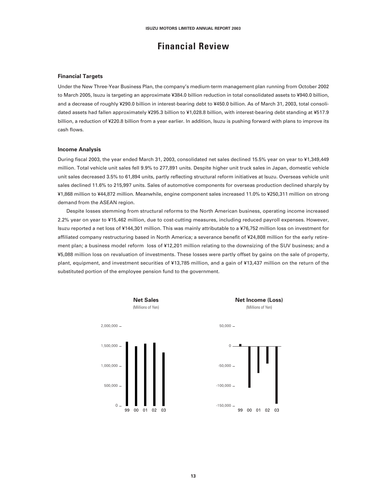### **Financial Review**

#### **Financial Targets**

Under the New Three-Year Business Plan, the company's medium-term management plan running from October 2002 to March 2005, Isuzu is targeting an approximate ¥384.0 billion reduction in total consolidated assets to ¥940.0 billion, and a decrease of roughly ¥290.0 billion in interest-bearing debt to ¥450.0 billion. As of March 31, 2003, total consolidated assets had fallen approximately ¥295.3 billion to ¥1,028.8 billion, with interest-bearing debt standing at ¥517.9 billion, a reduction of ¥220.8 billion from a year earlier. In addition, Isuzu is pushing forward with plans to improve its cash flows.

#### **Income Analysis**

During fiscal 2003, the year ended March 31, 2003, consolidated net sales declined 15.5% year on year to ¥1,349,449 million. Total vehicle unit sales fell 9.9% to 277,891 units. Despite higher unit truck sales in Japan, domestic vehicle unit sales decreased 3.5% to 61,894 units, partly reflecting structural reform initiatives at Isuzu. Overseas vehicle unit sales declined 11.6% to 215,997 units. Sales of automotive components for overseas production declined sharply by ¥1,868 million to ¥44,872 million. Meanwhile, engine component sales increased 11.0% to ¥250,311 million on strong demand from the ASEAN region.

Despite losses stemming from structural reforms to the North American business, operating income increased 2.2% year on year to ¥15,462 million, due to cost-cutting measures, including reduced payroll expenses. However, Isuzu reported a net loss of ¥144,301 million. This was mainly attributable to a ¥76,752 million loss on investment for affiliated company restructuring based in North America; a severance benefit of ¥24,808 million for the early retirement plan; a business model reform loss of ¥12,201 million relating to the downsizing of the SUV business; and a ¥5,088 million loss on revaluation of investments. These losses were partly offset by gains on the sale of property, plant, equipment, and investment securities of ¥13,785 million, and a gain of ¥13,437 million on the return of the substituted portion of the employee pension fund to the government.

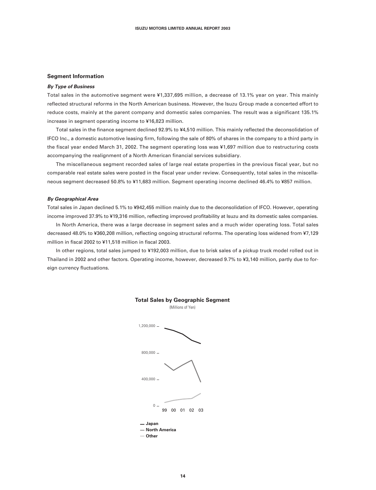#### **Segment Information**

#### **By Type of Business**

Total sales in the automotive segment were ¥1,337,695 million, a decrease of 13.1% year on year. This mainly reflected structural reforms in the North American business. However, the Isuzu Group made a concerted effort to reduce costs, mainly at the parent company and domestic sales companies. The result was a significant 135.1% increase in segment operating income to ¥16,823 million.

Total sales in the finance segment declined 92.9% to ¥4,510 million. This mainly reflected the deconsolidation of IFCO Inc., a domestic automotive leasing firm, following the sale of 80% of shares in the company to a third party in the fiscal year ended March 31, 2002. The segment operating loss was ¥1,697 million due to restructuring costs accompanying the realignment of a North American financial services subsidiary.

The miscellaneous segment recorded sales of large real estate properties in the previous fiscal year, but no comparable real estate sales were posted in the fiscal year under review. Consequently, total sales in the miscellaneous segment decreased 50.8% to ¥11,683 million. Segment operating income declined 46.4% to ¥857 million.

#### **By Geographical Area**

Total sales in Japan declined 5.1% to ¥942,455 million mainly due to the deconsolidation of IFCO. However, operating income improved 37.9% to ¥19,316 million, reflecting improved profitability at Isuzu and its domestic sales companies.

In North America, there was a large decrease in segment sales and a much wider operating loss. Total sales decreased 48.0% to ¥360,208 million, reflecting ongoing structural reforms. The operating loss widened from ¥7,129 million in fiscal 2002 to ¥11,518 million in fiscal 2003.

In other regions, total sales jumped to ¥192,003 million, due to brisk sales of a pickup truck model rolled out in Thailand in 2002 and other factors. Operating income, however, decreased 9.7% to ¥3,140 million, partly due to foreign currency fluctuations.





**14**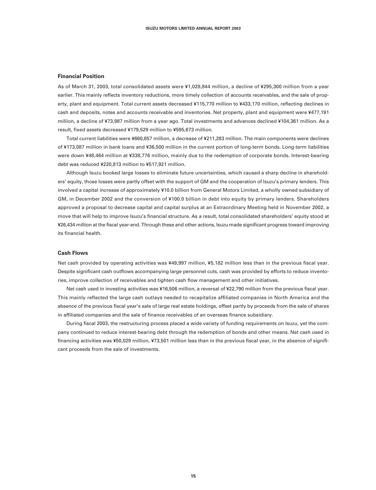#### **Financial Position**

As of March 31, 2003, total consolidated assets were ¥1,028,844 million, a decline of ¥295,300 million from a year earlier. This mainly reflects inventory reductions, more timely collection of accounts receivables, and the sale of property, plant and equipment. Total current assets decreased ¥115,770 million to ¥433,170 million, reflecting declines in cash and deposits, notes and accounts receivable and inventories. Net property, plant and equipment were ¥477,191 million, a decline of ¥73,987 million from a year ago. Total investments and advances declined ¥104,361 million. As a result, fixed assets decreased ¥179,529 million to ¥595,673 million.

Total current liabilities were ¥660,857 million, a decrease of ¥211,283 million. The main components were declines of ¥173,087 million in bank loans and ¥36,500 million in the current portion of long-term bonds. Long-term liabilities were down ¥48,464 million at ¥338,776 million, mainly due to the redemption of corporate bonds. Interest-bearing debt was reduced ¥220,813 million to ¥517,921 million.

Although Isuzu booked large losses to eliminate future uncertainties, which caused a sharp decline in shareholders' equity, those losses were partly offset with the support of GM and the cooperation of Isuzu's primary lenders. This involved a capital increase of approximately ¥10.0 billion from General Motors Limited, a wholly owned subsidiary of GM, in December 2002 and the conversion of ¥100.0 billion in debt into equity by primary lenders. Shareholders approved a proposal to decrease capital and capital surplus at an Extraordinary Meeting held in November 2002, a move that will help to improve Isuzu's financial structure. As a result, total consolidated shareholders' equity stood at ¥26,434 million at the fiscal year-end. Through these and other actions, Isuzu made significant progress toward improving its financial health.

#### **Cash Flows**

Net cash provided by operating activities was ¥49,997 million, ¥5,182 million less than in the previous fiscal year. Despite significant cash outflows accompanying large personnel cuts, cash was provided by efforts to reduce inventories, improve collection of receivables and tighten cash flow management and other initiatives.

Net cash used in investing activities was ¥16,506 million, a reversal of ¥22,790 million from the previous fiscal year. This mainly reflected the large cash outlays needed to recapitalize affiliated companies in North America and the absence of the previous fiscal year's sale of large real estate holdings, offset partly by proceeds from the sale of shares in affiliated companies and the sale of finance receivables of an overseas finance subsidiary.

During fiscal 2003, the restructuring process placed a wide variety of funding requirements on Isuzu, yet the company continued to reduce interest-bearing debt through the redemption of bonds and other means. Net cash used in financing activities was ¥50,029 million, ¥73,501 million less than in the previous fiscal year, in the absence of significant proceeds from the sale of investments.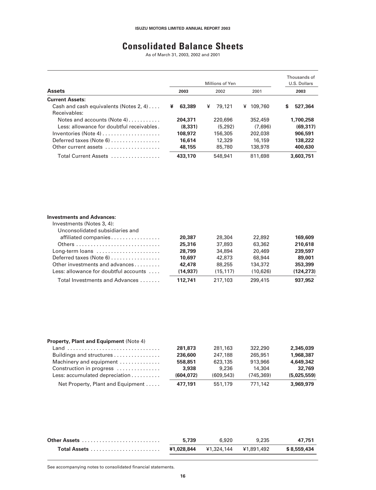## **Consolidated Balance Sheets**

As of March 31, 2003, 2002 and 2001

|                                                                           |             | Millions of Yen |              | Thousands of<br>U.S. Dollars |
|---------------------------------------------------------------------------|-------------|-----------------|--------------|------------------------------|
| <b>Assets</b>                                                             | 2003        | 2002            | 2001         | 2003                         |
| <b>Current Assets:</b>                                                    |             |                 |              |                              |
| Cash and cash equivalents (Notes 2, 4)                                    | ¥<br>63,389 | ¥<br>79,121     | 109,760<br>¥ | S<br>527,364                 |
| Receivables:                                                              |             |                 |              |                              |
| Notes and accounts (Note $4)$ , , ,                                       | 204.371     | 220,696         | 352,459      | 1,700,258                    |
| Less: allowance for doubtful receivables.                                 | (8.331)     | (5.292)         | (7.696)      | (69, 317)                    |
| Inventories (Note 4) $\ldots$ , $\ldots$ , $\ldots$ , $\ldots$ , $\ldots$ | 108,972     | 156,305         | 202,038      | 906.591                      |
| Deferred taxes (Note 6)                                                   | 16,614      | 12,329          | 16,159       | 138,222                      |
| Other current assets                                                      | 48.155      | 85,780          | 138,978      | 400.630                      |
| Total Current Assets                                                      | 433,170     | 548,941         | 811,698      | 3.603.751                    |

#### **Investments and Advances:**

| Investments (Notes 3, 4):             |          |          |          |            |
|---------------------------------------|----------|----------|----------|------------|
| Unconsolidated subsidiaries and       |          |          |          |            |
| affiliated companies                  | 20,387   | 28,304   | 22,892   | 169,609    |
|                                       | 25,316   | 37,893   | 63,362   | 210.618    |
| Long-term loans                       | 28,799   | 34,894   | 20,469   | 239,597    |
| Deferred taxes (Note 6)               | 10.697   | 42,873   | 68,944   | 89,001     |
| Other investments and advances        | 42,478   | 88,255   | 134,372  | 353,399    |
| Less: allowance for doubtful accounts | (14.937) | (15.117) | (10.626) | (124, 273) |
| Total Investments and Advances        | 112.741  | 217,103  | 299,415  | 937,952    |

| <b>Property, Plant and Equipment (Note 4)</b> |           |           |           |             |
|-----------------------------------------------|-----------|-----------|-----------|-------------|
| Land                                          | 281.873   | 281,163   | 322,290   | 2.345.039   |
| Buildings and structures                      | 236,600   | 247,188   | 265,951   | 1.968.387   |
| Machinery and equipment                       | 558,851   | 623,135   | 913,966   | 4.649.342   |
| Construction in progress                      | 3.938     | 9.236     | 14.304    | 32.769      |
| Less: accumulated depreciation                | (604.072) | (609.543) | (745.369) | (5.025.559) |
| Net Property, Plant and Equipment             | 477.191   | 551,179   | 771.142   | 3.969.979   |

| Other Assets | 5.739 | 6.920                            | 9.235 | 47.751      |
|--------------|-------|----------------------------------|-------|-------------|
|              |       | ¥1.028.844 ¥1.324.144 ¥1.891.492 |       | \$8.559.434 |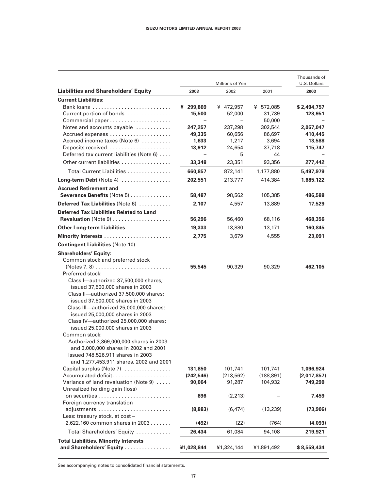|                                                                                                                                                                                                                                                                                                                                                                                                                                                                                                             |                                                   | Thousands of<br>U.S. Dollars                            |                                               |                                                          |
|-------------------------------------------------------------------------------------------------------------------------------------------------------------------------------------------------------------------------------------------------------------------------------------------------------------------------------------------------------------------------------------------------------------------------------------------------------------------------------------------------------------|---------------------------------------------------|---------------------------------------------------------|-----------------------------------------------|----------------------------------------------------------|
| <b>Liabilities and Shareholders' Equity</b>                                                                                                                                                                                                                                                                                                                                                                                                                                                                 | 2003                                              | 2002                                                    | 2001                                          | 2003                                                     |
| <b>Current Liabilities:</b>                                                                                                                                                                                                                                                                                                                                                                                                                                                                                 |                                                   |                                                         |                                               |                                                          |
| Current portion of bonds                                                                                                                                                                                                                                                                                                                                                                                                                                                                                    | ¥ 299,869<br>15,500<br>$\overline{\phantom{0}}$   | ¥ 472,957<br>52,000<br>$\overline{\phantom{0}}$         | ¥ 572,085<br>31,739<br>50,000                 | \$2,494,757<br>128,951                                   |
| Notes and accounts payable                                                                                                                                                                                                                                                                                                                                                                                                                                                                                  | 247,257                                           | 237,298                                                 | 302,544                                       | 2,057,047                                                |
| Accrued expenses                                                                                                                                                                                                                                                                                                                                                                                                                                                                                            | 49,335                                            | 60,656                                                  | 86,697                                        | 410,445                                                  |
| Accrued income taxes (Note 6)                                                                                                                                                                                                                                                                                                                                                                                                                                                                               | 1,633                                             | 1,217                                                   | 3,694                                         | 13,588                                                   |
| Deposits received                                                                                                                                                                                                                                                                                                                                                                                                                                                                                           | 13,912                                            | 24,654                                                  | 37,718                                        | 115,747                                                  |
| Deferred tax current liabilities (Note 6)                                                                                                                                                                                                                                                                                                                                                                                                                                                                   |                                                   | 5                                                       | 44                                            |                                                          |
| Other current liabilities                                                                                                                                                                                                                                                                                                                                                                                                                                                                                   | 33,348                                            | 23,351                                                  | 93,356                                        | 277,442                                                  |
| Total Current Liabilities                                                                                                                                                                                                                                                                                                                                                                                                                                                                                   | 660,857                                           | 872,141                                                 | 1,177,880                                     | 5,497,979                                                |
| Long-term Debt (Note 4)                                                                                                                                                                                                                                                                                                                                                                                                                                                                                     | 202,551                                           | 213,777                                                 | 414,384                                       | 1,685,122                                                |
| <b>Accrued Retirement and</b><br>Severance Benefits (Note 5)                                                                                                                                                                                                                                                                                                                                                                                                                                                | 58,487                                            | 98,562                                                  | 105,385                                       | 486,588                                                  |
| Deferred Tax Liabilities (Note 6)                                                                                                                                                                                                                                                                                                                                                                                                                                                                           | 2,107                                             | 4,557                                                   | 13,889                                        | 17,529                                                   |
| <b>Deferred Tax Liabilities Related to Land</b>                                                                                                                                                                                                                                                                                                                                                                                                                                                             |                                                   |                                                         |                                               |                                                          |
| Revaluation (Note 9)                                                                                                                                                                                                                                                                                                                                                                                                                                                                                        | 56,296                                            | 56,460                                                  | 68,116                                        | 468,356                                                  |
| Other Long-term Liabilities                                                                                                                                                                                                                                                                                                                                                                                                                                                                                 | 19,333                                            | 13,880                                                  | 13,171                                        | 160,845                                                  |
|                                                                                                                                                                                                                                                                                                                                                                                                                                                                                                             | 2,775                                             | 3,679                                                   | 4,555                                         | 23,091                                                   |
| <b>Contingent Liabilities (Note 10)</b>                                                                                                                                                                                                                                                                                                                                                                                                                                                                     |                                                   |                                                         |                                               |                                                          |
| <b>Shareholders' Equity:</b>                                                                                                                                                                                                                                                                                                                                                                                                                                                                                |                                                   |                                                         |                                               |                                                          |
| Common stock and preferred stock<br>$(Notes 7, 8) \ldots \ldots \ldots \ldots \ldots \ldots \ldots$<br>Preferred stock:<br>Class I-authorized 37,500,000 shares;<br>issued 37,500,000 shares in 2003<br>Class II-authorized 37,500,000 shares;<br>issued 37,500,000 shares in 2003<br>Class III-authorized 25,000,000 shares;<br>issued 25,000,000 shares in 2003<br>Class IV-authorized 25,000,000 shares;<br>issued 25,000,000 shares in 2003<br>Common stock:<br>Authorized 3,369,000,000 shares in 2003 | 55,545                                            | 90,329                                                  | 90,329                                        | 462,105                                                  |
| and 3,000,000 shares in 2002 and 2001<br>Issued 748,526,911 shares in 2003<br>and 1,277,453,911 shares, 2002 and 2001<br>Capital surplus (Note 7)<br>Accumulated deficit<br>Variance of land revaluation (Note 9)<br>Unrealized holding gain (loss)<br>Foreign currency translation                                                                                                                                                                                                                         | 131,850<br>(242, 546)<br>90,064<br>896<br>(8,883) | 101,741<br>(213, 562)<br>91,287<br>(2, 213)<br>(6, 474) | 101,741<br>(188, 891)<br>104,932<br>(13, 239) | 1,096,924<br>(2,017,857)<br>749,290<br>7,459<br>(73,906) |
| Less: treasury stock, at cost -                                                                                                                                                                                                                                                                                                                                                                                                                                                                             |                                                   |                                                         |                                               |                                                          |
| 2,622,160 common shares in 2003                                                                                                                                                                                                                                                                                                                                                                                                                                                                             | (492)                                             | (22)                                                    | (764)                                         | (4,093)                                                  |
| Total Shareholders' Equity                                                                                                                                                                                                                                                                                                                                                                                                                                                                                  | 26,434                                            | 61,084                                                  | 94,108                                        | 219,921                                                  |
| <b>Total Liabilities, Minority Interests</b><br>and Shareholders' Equity                                                                                                                                                                                                                                                                                                                                                                                                                                    | ¥1,028,844                                        | ¥1,324,144                                              | ¥1,891,492                                    | \$ 8,559,434                                             |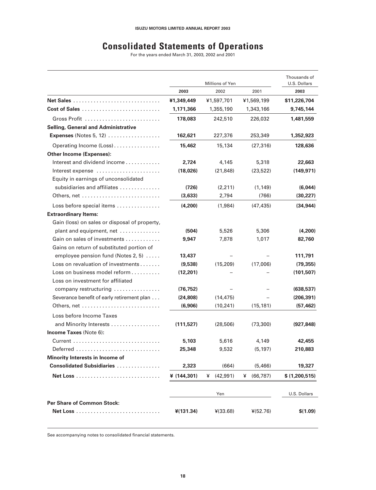## **Consolidated Statements of Operations**

For the years ended March 31, 2003, 2002 and 2001

|                                                                      |                | Millions of Yen |               | Thousands of<br>U.S. Dollars |
|----------------------------------------------------------------------|----------------|-----------------|---------------|------------------------------|
|                                                                      | 2003           | 2002            | 2001          | 2003                         |
|                                                                      | ¥1,349,449     | ¥1,597,701      | ¥1,569,199    | \$11,226,704                 |
| Cost of Sales                                                        | 1,171,366      | 1,355,190       | 1,343,166     | 9,745,144                    |
|                                                                      | 178,083        | 242,510         | 226,032       | 1,481,559                    |
| <b>Selling, General and Administrative</b>                           |                |                 |               |                              |
| <b>Expenses</b> (Notes 5, 12)                                        | 162,621        | 227,376         | 253,349       | 1,352,923                    |
| Operating Income (Loss)                                              | 15,462         | 15,134          | (27, 316)     | 128,636                      |
| <b>Other Income (Expenses):</b>                                      |                |                 |               |                              |
| Interest and dividend income $\ldots \ldots \ldots$                  | 2,724          | 4,145           | 5,318         | 22,663                       |
| Interest expense                                                     | (18,026)       | (21, 848)       | (23, 522)     | (149, 971)                   |
| Equity in earnings of unconsolidated                                 |                |                 |               |                              |
| subsidiaries and affiliates                                          | (726)          | (2,211)         | (1, 149)      | (6,044)                      |
|                                                                      | (3,633)        | 2,794           | (766)         | (30, 227)                    |
| Loss before special items                                            | (4,200)        | (1,984)         | (47, 435)     | (34, 944)                    |
| <b>Extraordinary Items:</b>                                          |                |                 |               |                              |
| Gain (loss) on sales or disposal of property,                        |                |                 |               |                              |
| plant and equipment, net                                             | (504)          | 5,526           | 5,306         | (4,200)                      |
| Gain on sales of investments                                         | 9.947          | 7,878           | 1,017         | 82,760                       |
| Gains on return of substituted portion of                            |                |                 |               |                              |
| employee pension fund (Notes 2, 5)                                   | 13,437         |                 |               | 111,791                      |
| Loss on revaluation of investments                                   | (9,538)        | (15, 209)       | (17,006)      | (79, 355)                    |
| Loss on business model reform                                        | (12, 201)      |                 |               | (101, 507)                   |
| Loss on investment for affiliated                                    |                |                 |               |                              |
| company restructuring                                                | (76, 752)      |                 |               | (638, 537)                   |
| Severance benefit of early retirement plan                           | (24, 808)      | (14, 475)       |               | (206, 391)                   |
|                                                                      | (6,906)        | (10, 241)       | (15, 181)     | (57, 462)                    |
| Loss before Income Taxes                                             |                |                 |               |                              |
| and Minority Interests                                               | (111, 527)     | (28, 506)       | (73, 300)     | (927, 848)                   |
| Income Taxes (Note 6):                                               |                |                 |               |                              |
|                                                                      | 5,103          | 5,616           | 4,149         | 42,455                       |
| Deferred.<br>.                                                       | 25,348         | 9,532           | (5, 197)      | 210,883                      |
| Minority Interests in Income of<br><b>Consolidated Subsidiaries </b> |                |                 | (5,466)       | 19,327                       |
|                                                                      | 2,323          | (664)           |               |                              |
|                                                                      | ¥ $(144, 301)$ | ¥ $(42,991)$    | ¥ $(66, 787)$ | \$(1,200,515)                |
|                                                                      |                | Yen             |               | U.S. Dollars                 |
| <b>Per Share of Common Stock:</b>                                    |                |                 |               |                              |
|                                                                      | $*(131.34)$    | $*(33.68)$      | $*(52.76)$    | \$(1.09)                     |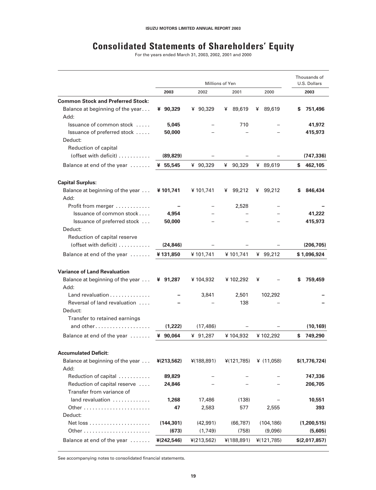## **Consolidated Statements of Shareholders' Equity**

For the years ended March 31, 2003, 2002, 2001 and 2000

|                                                | Millions of Yen |             |             | Thousands of<br>U.S. Dollars |               |
|------------------------------------------------|-----------------|-------------|-------------|------------------------------|---------------|
|                                                | 2003            | 2002        | 2001        | 2000                         | 2003          |
| <b>Common Stock and Preferred Stock:</b>       |                 |             |             |                              |               |
| Balance at beginning of the year<br>Add:       | ¥ 90,329        | ¥ 90,329    | 89,619<br>¥ | 89,619<br>¥                  | 751,496<br>s  |
| Issuance of common stock                       | 5,045           |             | 710         |                              | 41,972        |
| Issuance of preferred stock                    | 50,000          |             |             |                              | 415,973       |
| Deduct:                                        |                 |             |             |                              |               |
| Reduction of capital                           |                 |             |             |                              |               |
| (offset with deficit)                          | (89, 829)       |             |             |                              | (747, 336)    |
| Balance at end of the year                     | ¥ 55,545        | ¥ 90,329    | ¥<br>90,329 | ¥ 89,619                     | S<br>462,105  |
| <b>Capital Surplus:</b>                        |                 |             |             |                              |               |
| Balance at beginning of the year<br>Add:       | ¥101,741        | ¥ 101,741   | 99,212<br>¥ | ¥ 99,212                     | 846,434<br>s  |
| Profit from merger                             |                 |             | 2,528       |                              |               |
| Issuance of common stock                       | 4,954           |             |             |                              | 41,222        |
| Issuance of preferred stock                    | 50,000          |             |             |                              | 415,973       |
| Deduct:                                        |                 |             |             |                              |               |
| Reduction of capital reserve                   |                 |             |             |                              |               |
| (offset with deficit)                          | (24, 846)       |             |             |                              | (206, 705)    |
| Balance at end of the year                     | ¥131,850        | ¥ 101,741   | ¥ 101,741   | ¥ $99,212$                   | \$1,096,924   |
| <b>Variance of Land Revaluation</b>            |                 |             |             |                              |               |
| Balance at beginning of the year               | ¥ 91,287        | ¥ 104,932   | ¥ 102,292   | ¥                            | 759,459<br>s  |
| Add:                                           |                 |             |             |                              |               |
| Land revaluation $\ldots \ldots \ldots \ldots$ |                 | 3,841       | 2,501       | 102,292                      |               |
| Reversal of land revaluation                   |                 |             | 138         |                              |               |
| Deduct:<br>Transfer to retained earnings       |                 |             |             |                              |               |
| and other                                      | (1,222)         | (17, 486)   |             |                              | (10, 169)     |
|                                                | ¥ 90,064        |             | ¥104,932    |                              | S             |
| Balance at end of the year                     |                 | ¥ 91,287    |             | ¥ 102,292                    | 749,290       |
| <b>Accumulated Deficit:</b>                    |                 |             |             |                              |               |
| Balance at beginning of the year               | $*(213,562)$    | 4(188, 891) | 4(121,785)  | ¥ $(11,058)$                 | \$(1,776,724) |
| Add:                                           |                 |             |             |                              |               |
| Reduction of capital                           | 89,829          |             |             |                              | 747,336       |
| Reduction of capital reserve                   | 24,846          |             |             |                              | 206,705       |
| Transfer from variance of                      |                 |             |             |                              |               |
| $land$ revaluation $\ldots \ldots \ldots$      | 1,268           | 17,486      | (138)       |                              | 10,551        |
|                                                | 47              | 2,583       | 577         | 2,555                        | 393           |
| Deduct:                                        |                 |             |             |                              |               |
|                                                | (144, 301)      | (42, 991)   | (66, 787)   | (104, 186)                   | (1,200,515)   |
|                                                | (673)           | (1,749)     | (758)       | (9,096)                      | (5,605)       |
| Balance at end of the year                     | ¥(242,546)      | 4(213,562)  | ¥(188,891)  | 4(121,785)                   | \$(2,017,857) |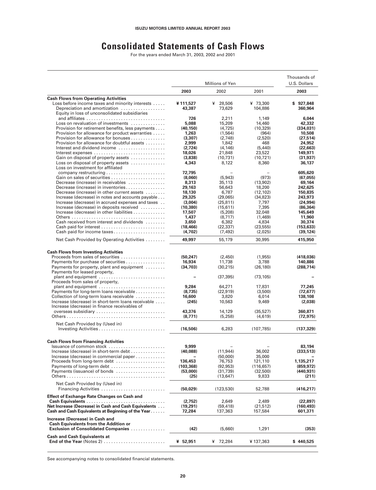### **Consolidated Statements of Cash Flows**

For the years ended March 31, 2003, 2002 and 2001

|                                                                                                            |                    |                       | Thousands of         |                       |
|------------------------------------------------------------------------------------------------------------|--------------------|-----------------------|----------------------|-----------------------|
|                                                                                                            |                    | Millions of Yen       |                      | U.S. Dollars          |
|                                                                                                            | 2003               | 2002                  | 2001                 | 2003                  |
| <b>Cash Flows from Operating Activities</b><br>Loss before income taxes and minority interests             | ¥111,527           | ¥<br>28,506           | ¥ 73,300             | \$927,848             |
| Depreciation and amortization                                                                              | 43,387             | 73,629                | 104,886              | 360,964               |
| Equity in loss of unconsolidated subsidiaries                                                              |                    |                       |                      |                       |
| Loss on revaluation of investments                                                                         | 726<br>5,088       | 2,211<br>15,209       | 1,149<br>14,460      | 6,044<br>42,332       |
| Provision for retirement benefits, less payments                                                           | (40, 150)          | (4, 725)              | (10, 329)            | (334, 031)            |
| Provision for allowance for product warranties                                                             | 1,263              | (1, 564)              | (964)                | 10,508                |
| Provision for allowance for bonuses                                                                        | (3, 307)           | (2,748)               | (2,520)              | (27, 514)             |
| Provision for allowance for doubtful assets<br>Interest and dividend income                                | 2,999              | 1,842                 | 468                  | 24,952<br>(22, 663)   |
|                                                                                                            | (2,724)<br>18,026  | (4, 146)<br>21,848    | (5,440)<br>23,522    | 149,971               |
| Gain on disposal of property assets                                                                        | (3,838)            | (10,731)              | (10, 721)            | (31, 937)             |
| Loss on disposal of property assets                                                                        | 4,343              | 8,122                 | 8,360                | 36,137                |
| Loss on investment for affiliated                                                                          |                    |                       |                      |                       |
|                                                                                                            | 72,795<br>(8,060)  | (5,943)               | (973)                | 605,620<br>(67, 055)  |
| Decrease (increase) in receivables                                                                         | 8,313              | 35,113                | (13,902)             | 69,164                |
| Decrease (increase) in inventories                                                                         | 29,163             | 56,643                | 18,200               | 242,625               |
| Decrease (increase) in other current assets                                                                | 18,130             | 6,787                 | (12, 102)            | 150,835               |
| Increase (decrease) in notes and accounts payable<br>Increase (decrease) in accrued expenses and taxes     | 29,325<br>(3,004)  | (29,065)<br>(25, 811) | (34, 823)<br>7,797   | 243,973<br>(24, 994)  |
| Increase (decrease) in deposits received                                                                   | (10, 380)          | (15,611)              | 7,395                | (86, 364)             |
| Increase (decrease) in other liabilities                                                                   | 17,507             | (5, 208)              | 32,048               | 145,649               |
|                                                                                                            | 1,437              | (8,717)               | (1,469)              | 11,960                |
| Cash received from interest and dividends                                                                  | 3.650<br>(18, 466) | 6,382<br>(22, 337)    | 4,834<br>(23, 555)   | 30.374<br>(153, 633)  |
| Cash paid for income taxes                                                                                 | (4,702)            | (7, 492)              | (2,025)              | (39, 124)             |
| Net Cash Provided by Operating Activities                                                                  | 49,997             | 55,179                | 30,995               | 415,950               |
| <b>Cash Flows from Investing Activities</b>                                                                |                    |                       |                      |                       |
| Proceeds from sales of securities                                                                          | (50, 247)          | (2,450)               | (1,955)              | (418,036)             |
| Payments for purchase of securities                                                                        | 16,934             | 11,738                | 3,788                | 140,886               |
| Payments for property, plant and equipment                                                                 | (34, 703)          | (30, 215)             | (26, 180)            | (288, 714)            |
| Payments for leased property,<br>plant and equipment                                                       |                    | (37, 395)             | (73, 105)            |                       |
| Proceeds from sales of property,                                                                           |                    |                       |                      |                       |
| plant and equipment                                                                                        | 9,284              | 64,271                | 17,831               | 77,245                |
| Payments for long-term loans receivable                                                                    | (8, 735)           | (22, 919)             | (3,500)              | (72, 677)             |
| Collection of long-term loans receivable<br>Increase (decrease) in short-term loans receivable             | 16,600<br>(245)    | 3,820<br>10,563       | 6,014<br>9,469       | 138,108<br>(2,038)    |
| Increase (decrease) in finance receivables of                                                              |                    |                       |                      |                       |
| overseas subsidiary                                                                                        | 43,376             | 14,129                | (35, 527)            | 360,871               |
|                                                                                                            | (8.771)            | (5,258)               | (4,619)              | (72, 975)             |
| Net Cash Provided by (Used in)                                                                             |                    |                       |                      |                       |
|                                                                                                            | (16,506)           | 6,283                 | (107, 785)           | (137, 329)            |
| <b>Cash Flows from Financing Activities</b>                                                                |                    |                       |                      |                       |
| Issuance of common stock                                                                                   | 9,999              |                       |                      | 83,194                |
| Increase (decrease) in short-term debt<br>Increase (decrease) in commercial paper                          | (40, 088)          | (11, 944)<br>(50,000) | 36,002<br>35,000     | (333,513)             |
| Proceeds from long-term debt                                                                               | 136,453            | 76,753                | 121,110              | 1,135,217             |
| Payments of long-term debt                                                                                 | (103, 368)         | (92, 953)             | (116, 657)           | (859, 972)            |
| Payments (issuance) of bonds                                                                               | (53,000)           | (31,739)              | (32,500)             | (440, 931)            |
|                                                                                                            | (25)               | (13, 647)             | 9,833                | (211)                 |
| Net Cash Provided by (Used in)<br>Financing Activities                                                     | (50, 029)          | (123, 530)            | 52,788               | (416, 217)            |
| <b>Effect of Exchange Rate Changes on Cash and</b>                                                         |                    |                       |                      |                       |
|                                                                                                            | (2,752)            | 2,649                 | 2,489                | (22, 897)             |
| Net Increase (Decrease) in Cash and Cash Equivalents<br>Cash and Cash Equivalents at Beginning of the Year | (19,291)<br>72,284 | (59, 418)<br>137,363  | (21, 512)<br>157,584 | (160, 493)<br>601,371 |
| Increase (Decrease) in Cash and                                                                            |                    |                       |                      |                       |
| <b>Cash Equivalents from the Addition or</b><br>Exclusion of Consolidated Companies                        | (42)               | (5,660)               | 1,291                | (353)                 |
| <b>Cash and Cash Equivalents at</b>                                                                        |                    |                       |                      |                       |
| End of the Year (Notes 2)                                                                                  | ¥ 52,951           | ¥ 72,284              | ¥137,363             | \$440,525             |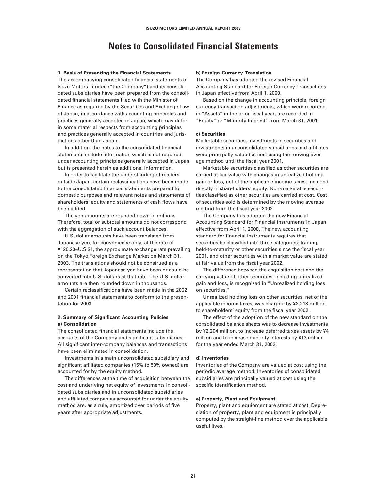### **Notes to Consolidated Financial Statements**

#### **1. Basis of Presenting the Financial Statements**

The accompanying consolidated financial statements of Isuzu Motors Limited ("the Company") and its consolidated subsidiaries have been prepared from the consolidated financial statements filed with the Minister of Finance as required by the Securities and Exchange Law of Japan, in accordance with accounting principles and practices generally accepted in Japan, which may differ in some material respects from accounting principles and practices generally accepted in countries and jurisdictions other than Japan.

In addition, the notes to the consolidated financial statements include information which is not required under accounting principles generally accepted in Japan but is presented herein as additional information.

In order to facilitate the understanding of readers outside Japan, certain reclassifications have been made to the consolidated financial statements prepared for domestic purposes and relevant notes and statements of shareholders' equity and statements of cash flows have been added.

The yen amounts are rounded down in millions. Therefore, total or subtotal amounts do not correspond with the aggregation of such account balances.

U.S. dollar amounts have been translated from Japanese yen, for convenience only, at the rate of ¥120.20=U.S.\$1, the approximate exchange rate prevailing on the Tokyo Foreign Exchange Market on March 31, 2003. The translations should not be construed as a representation that Japanese yen have been or could be converted into U.S. dollars at that rate. The U.S. dollar amounts are then rounded down in thousands.

Certain reclassifications have been made in the 2002 and 2001 financial statements to conform to the presentation for 2003.

#### **2. Summary of Significant Accounting Policies a) Consolidation**

The consolidated financial statements include the accounts of the Company and significant subsidiaries. All significant inter-company balances and transactions have been eliminated in consolidation.

Investments in a main unconsolidated subsidiary and significant affiliated companies (15% to 50% owned) are accounted for by the equity method.

The differences at the time of acquisition between the cost and underlying net equity of investments in consolidated subsidiaries and in unconsolidated subsidiaries and affiliated companies accounted for under the equity method are, as a rule, amortized over periods of five years after appropriate adjustments.

#### **b) Foreign Currency Translation**

The Company has adopted the revised Financial Accounting Standard for Foreign Currency Transactions in Japan effective from April 1, 2000.

Based on the change in accounting principle, foreign currency transaction adjustments, which were recorded in "Assets" in the prior fiscal year, are recorded in "Equity" or "Minority Interest" from March 31, 2001.

#### **c) Securities**

Marketable securities, investments in securities and investments in unconsolidated subsidiaries and affiliates were principally valued at cost using the moving average method until the fiscal year 2001.

Marketable securities classified as other securities are carried at fair value with changes in unrealized holding gain or loss, net of the applicable income taxes, included directly in shareholders' equity. Non-marketable securities classified as other securities are carried at cost. Cost of securities sold is determined by the moving average method from the fiscal year 2002.

The Company has adopted the new Financial Accounting Standard for Financial Instruments in Japan effective from April 1, 2000. The new accounting standard for financial instruments requires that securities be classified into three categories: trading, held-to-maturity or other securities since the fiscal year 2001, and other securities with a market value are stated at fair value from the fiscal year 2002.

The difference between the acquisition cost and the carrying value of other securities, including unrealized gain and loss, is recognized in "Unrealized holding loss on securities."

Unrealized holding loss on other securities, net of the applicable income taxes, was charged by ¥2,213 million to shareholders' equity from the fiscal year 2002.

The effect of the adoption of the new standard on the consolidated balance sheets was to decrease investments by ¥2,204 million, to increase deferred taxes assets by ¥4 million and to increase minority interests by ¥13 million for the year ended March 31, 2002.

#### **d) Inventories**

Inventories of the Company are valued at cost using the periodic average method. Inventories of consolidated subsidiaries are principally valued at cost using the specific identification method.

#### **e) Property, Plant and Equipment**

Property, plant and equipment are stated at cost. Depreciation of property, plant and equipment is principally computed by the straight-line method over the applicable useful lives.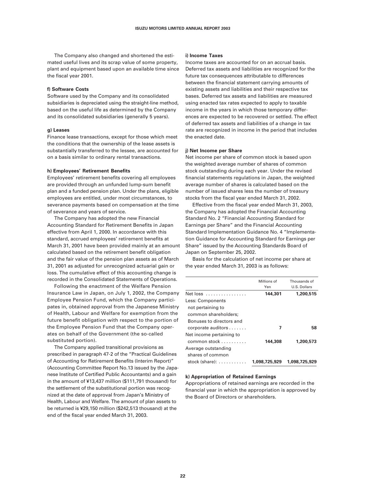The Company also changed and shortened the estimated useful lives and its scrap value of some property, plant and equipment based upon an available time since the fiscal year 2001.

#### **f) Software Costs**

Software used by the Company and its consolidated subsidiaries is depreciated using the straight-line method, based on the useful life as determined by the Company and its consolidated subsidiaries (generally 5 years).

#### **g) Leases**

Finance lease transactions, except for those which meet the conditions that the ownership of the lease assets is substantially transferred to the lessee, are accounted for on a basis similar to ordinary rental transactions.

#### **h) Employees' Retirement Benefits**

Employees' retirement benefits covering all employees are provided through an unfunded lump-sum benefit plan and a funded pension plan. Under the plans, eligible employees are entitled, under most circumstances, to severance payments based on compensation at the time of severance and years of service.

The Company has adopted the new Financial Accounting Standard for Retirement Benefits in Japan effective from April 1, 2000. In accordance with this standard, accrued employees' retirement benefits at March 31, 2001 have been provided mainly at an amount calculated based on the retirement benefit obligation and the fair value of the pension plan assets as of March 31, 2001 as adjusted for unrecognized actuarial gain or loss. The cumulative effect of this accounting change is recorded in the Consolidated Statements of Operations.

Following the enactment of the Welfare Pension Insurance Law in Japan, on July 1, 2002, the Company Employee Pension Fund, which the Company participates in, obtained approval from the Japanese Ministry of Health, Labour and Welfare for exemption from the future benefit obligation with respect to the portion of the Employee Pension Fund that the Company operates on behalf of the Government (the so-called substituted portion).

The Company applied transitional provisions as prescribed in paragraph 47-2 of the "Practical Guidelines of Accounting for Retirement Benefits (Interim Report)" (Accounting Committee Report No.13 issued by the Japanese Institute of Certified Public Accountants) and a gain in the amount of ¥13,437 million (\$111,791 thousand) for the settlement of the substitutional portion was recognized at the date of approval from Japan's Ministry of Health, Labour and Welfare. The amount of plan assets to be returned is ¥29,150 million (\$242,513 thousand) at the end of the fiscal year ended March 31, 2003.

#### **i) Income Taxes**

Income taxes are accounted for on an accrual basis. Deferred tax assets and liabilities are recognized for the future tax consequences attributable to differences between the financial statement carrying amounts of existing assets and liabilities and their respective tax bases. Deferred tax assets and liabilities are measured using enacted tax rates expected to apply to taxable income in the years in which those temporary differences are expected to be recovered or settled. The effect of deferred tax assets and liabilities of a change in tax rate are recognized in income in the period that includes the enacted date.

#### **j) Net Income per Share**

Net income per share of common stock is based upon the weighted average number of shares of common stock outstanding during each year. Under the revised financial statements regulations in Japan, the weighted average number of shares is calculated based on the number of issued shares less the number of treasury stocks from the fiscal year ended March 31, 2002.

Effective from the fiscal year ended March 31, 2003, the Company has adopted the Financial Accounting Standard No. 2 "Financial Accounting Standard for Earnings per Share" and the Financial Accounting Standard Implementation Guidance No. 4 "Implementation Guidance for Accounting Standard for Earnings per Share" issued by the Accounting Standards Board of Japan on September 25, 2002.

Basis for the calculation of net income per share at the year ended March 31, 2003 is as follows:

|                                      | Millions of<br>Yen | Thousands of<br>U.S. Dollars |
|--------------------------------------|--------------------|------------------------------|
| Net loss                             | 144,301            | 1,200,515                    |
| Less: Components                     |                    |                              |
| not pertaining to                    |                    |                              |
| common shareholders:                 |                    |                              |
| Bonuses to directors and             |                    |                              |
| corporate auditors                   | 7                  | 58                           |
| Net income pertaining to             |                    |                              |
| common stock                         | 144,308            | 1,200,573                    |
| Average outstanding                  |                    |                              |
| shares of common                     |                    |                              |
| stock (share): $\ldots$ , $\ldots$ , | 1.098.725.929      | 1.098.725.929                |

#### **k) Appropriation of Retained Earnings**

Appropriations of retained earnings are recorded in the financial year in which the appropriation is approved by the Board of Directors or shareholders.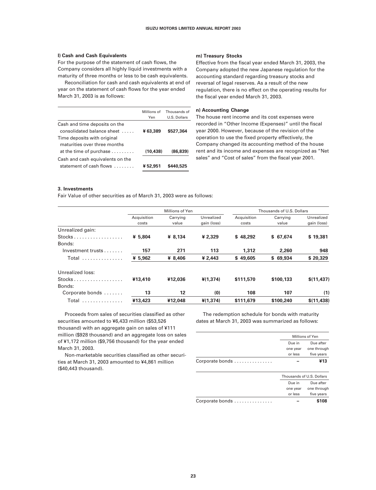#### **l) Cash and Cash Equivalents**

For the purpose of the statement of cash flows, the Company considers all highly liquid investments with a maturity of three months or less to be cash equivalents.

Reconciliation for cash and cash equivalents at end of year on the statement of cash flows for the year ended March 31, 2003 is as follows:

#### Millions of Thousands of Yen U.S. Dollars Cash and time deposits on the consolidated balance sheet . . . . . **¥ 63,389 \$527,364** Time deposits with original maturities over three months at the time of purchase . . . . . . . . . **(10,438) (86,839)** Cash and cash equivalents on the statement of cash flows . . . . . . . . **¥ 52,951 \$440,525**

#### **m) Treasury Stocks**

Effective from the fiscal year ended March 31, 2003, the Company adopted the new Japanese regulation for the accounting standard regarding treasury stocks and reversal of legal reserves. As a result of the new regulation, there is no effect on the operating results for the fiscal year ended March 31, 2003.

#### **n) Accounting Change**

The house rent income and its cost expenses were recorded in "Other Income (Expenses)" until the fiscal year 2000. However, because of the revision of the operation to use the fixed property effectively, the Company changed its accounting method of the house rent and its income and expenses are recognized as "Net sales" and "Cost of sales" from the fiscal year 2001.

#### **3. Investments**

Fair Value of other securities as of March 31, 2003 were as follows:

|                                     |                      | Millions of Yen   |                           |                      | Thousands of U.S. Dollars |                           |
|-------------------------------------|----------------------|-------------------|---------------------------|----------------------|---------------------------|---------------------------|
|                                     | Acquisition<br>costs | Carrying<br>value | Unrealized<br>gain (loss) | Acquisition<br>costs | Carrying<br>value         | Unrealized<br>gain (loss) |
| Unrealized gain:                    |                      |                   |                           |                      |                           |                           |
| $Stocks$<br>Bonds:                  | ¥ 5.804              | ¥ 8,134           | ¥ 2.329                   | \$48.292             | \$67.674                  | \$19,381                  |
| $Investment$ trusts $\ldots \ldots$ | 157                  | 271               | 113                       | 1,312                | 2,260                     | 948                       |
| Total<br>.                          | ¥ 5,962              | ¥ 8.406           | ¥ 2.443                   | \$49,605             | \$69.934                  | \$20,329                  |
| Unrealized loss:                    |                      |                   |                           |                      |                           |                           |
| $Stocks$                            | ¥13,410              | ¥12,036           | ¥(1.374)                  | \$111,570            | \$100.133                 | \$(11, 437)               |
| Bonds:                              |                      |                   |                           |                      |                           |                           |
| Corporate bonds                     | 13                   | 12                | (0)                       | 108                  | 107                       | (1)                       |
| Total                               | ¥13,423              | ¥12,048           | ¥(1,374)                  | \$111,679            | \$100,240                 | \$(11, 438)               |

Proceeds from sales of securities classified as other securities amounted to ¥6,433 million (\$53,526 thousand) with an aggregate gain on sales of ¥111 million (\$928 thousand) and an aggregate loss on sales of ¥1,172 million (\$9,756 thousand) for the year ended March 31, 2003.

Non-marketable securities classified as other securities at March 31, 2003 amounted to ¥4,861 million (\$40,443 thousand).

The redemption schedule for bonds with maturity dates at March 31, 2003 was summarized as follows:

|                 | Millions of Yen |                           |
|-----------------|-----------------|---------------------------|
|                 | Due in          | Due after                 |
|                 | one year        | one through               |
|                 | or less         | five years                |
| Corporate bonds |                 | ¥13                       |
|                 |                 | Thousands of U.S. Dollars |

| 1110u3u11u3 01 0.0. DOIIUI3 |             |  |
|-----------------------------|-------------|--|
| Due in                      | Due after   |  |
| one year                    | one through |  |
| or less                     | five years  |  |
|                             | \$108       |  |
|                             |             |  |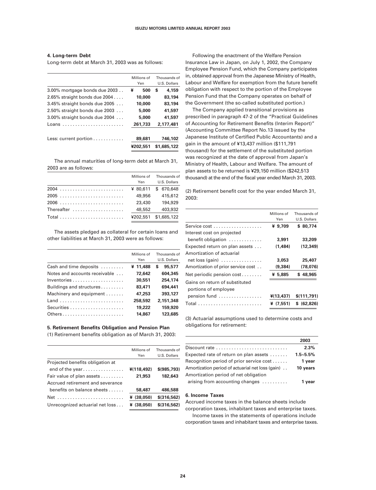#### **4. Long-term Debt**

Long-term debt at March 31, 2003 was as follows:

|                                  | Millions of<br>Yen | Thousands of<br>U.S. Dollars |
|----------------------------------|--------------------|------------------------------|
| 3.00% mortgage bonds due 2003    | ¥<br>500           | 4,159<br>S                   |
| 2.65% straight bonds due 2004    | 10,000             | 83,194                       |
| $3.45\%$ straight bonds due 2005 | 10,000             | 83,194                       |
| $2.50\%$ straight bonds due 2003 | 5,000              | 41,597                       |
| $3.00\%$ straight bonds due 2004 | 5,000              | 41,597                       |
| Loans                            | 261.733            | 2.177.481                    |
| Less: current portion            | 89,681             | 746,102                      |
|                                  | ¥202.551           | \$1,685,122                  |

The annual maturities of long-term debt at March 31, 2003 are as follows:

|            | Yen    | Millions of Thousands of<br>U.S. Dollars |
|------------|--------|------------------------------------------|
| 2004       |        | ¥ 80.611 \$ 670.648                      |
| 2005       | 49,956 | 415,612                                  |
| 2006       | 23,430 | 194,929                                  |
| Thereafter | 48,552 | 403,932                                  |
|            |        | ¥202.551 \$1.685.122                     |

The assets pledged as collateral for certain loans and other liabilities at March 31, 2003 were as follows:

|                               | Millions of<br>Yen | Thousands of<br>U.S. Dollars |
|-------------------------------|--------------------|------------------------------|
| Cash and time deposits        | ¥ 11,488           | 95,577<br>S                  |
| Notes and accounts receivable | 72,642             | 604,345                      |
| Inventories                   | 30,551             | 254,174                      |
| Buildings and structures      | 83,471             | 694,441                      |
| Machinery and equipment       | 47,253             | 393.127                      |
| Land                          | 258,592            | 2.151.348                    |
|                               | 19,222             | 159,920                      |
| Others                        | 14,867             | 123,685                      |

#### **5. Retirement Benefits Obligation and Pension Plan**

(1) Retirement benefits obligation as of March 31, 2003:

|                                  | Millions of<br>Yen | Thousands of<br>U.S. Dollars |
|----------------------------------|--------------------|------------------------------|
| Projected benefits obligation at |                    |                              |
| end of the year                  | ¥(118.492)         | \$ (985.793)                 |
| Fair value of plan assets        | 21,953             | 182,643                      |
| Accrued retirement and severance |                    |                              |
| benefits on balance sheets       | 58,487             | 486,588                      |
| Net                              | ¥ (38.050)         | \$(316.562)                  |
| Unrecognized actuarial net loss  | ¥ (38.050)         | \$(316.562)                  |
|                                  |                    |                              |

Following the enactment of the Welfare Pension Insurance Law in Japan, on July 1, 2002, the Company Employee Pension Fund, which the Company participates in, obtained approval from the Japanese Ministry of Health, Labour and Welfare for exemption from the future benefit obligation with respect to the portion of the Employee Pension Fund that the Company operates on behalf of the Government (the so-called substituted portion.)

The Company applied transitional provisions as prescribed in paragraph 47-2 of the "Practical Guidelines of Accounting for Retirement Benefits (Interim Report)" (Accounting Committee Report No.13 issued by the Japanese Institute of Certified Public Accountants) and a gain in the amount of ¥13,437 million (\$111,791 thousand) for the settlement of the substituted portion was recognized at the date of approval from Japan's Ministry of Health, Labour and Welfare. The amount of plan assets to be returned is ¥29,150 million (\$242,513 thousand) at the end of the fiscal year ended March 31, 2003.

(2) Retirement benefit cost for the year ended March 31, 2003:

|                                                 | Millions of | Thousands of |
|-------------------------------------------------|-------------|--------------|
|                                                 | Yen         | U.S. Dollars |
| Service cost                                    | ¥ 9,709     | \$80,774     |
| Interest cost on projected                      |             |              |
| benefit obligation                              | 3,991       | 33,209       |
| Expected return on plan assets                  | (1.484)     | (12.349)     |
| Amortization of actuarial                       |             |              |
| $net loss (gain) \dots \dots \dots \dots \dots$ | 3,053       | 25,407       |
| Amortization of prior service cost              | (9.384)     | (78.076)     |
| Net periodic pension $cost$                     | ¥ 5.885     | \$48.965     |
| Gains on return of substituted                  |             |              |
| portions of employee                            |             |              |
| pension fund                                    | ¥(13.437)   | \$(111,791)  |
|                                                 | ¥ (7.551)   | \$ (62.826)  |

(3) Actuarial assumptions used to determine costs and obligations for retirement:

|                                                   | 2003         |
|---------------------------------------------------|--------------|
| Discount rate                                     | 2.3%         |
| Expected rate of return on plan assets            | $1.5 - 5.5%$ |
| Recognition period of prior service cost          | 1 year       |
| Amortization period of actuarial net loss (gain). | 10 years     |
| Amortization period of net obligation             |              |
| arising from accounting changes                   | 1 vear       |

#### **6. Income Taxes**

Accrued income taxes in the balance sheets include

corporation taxes, inhabitant taxes and enterprise taxes. Income taxes in the statements of operations include

corporation taxes and inhabitant taxes and enterprise taxes.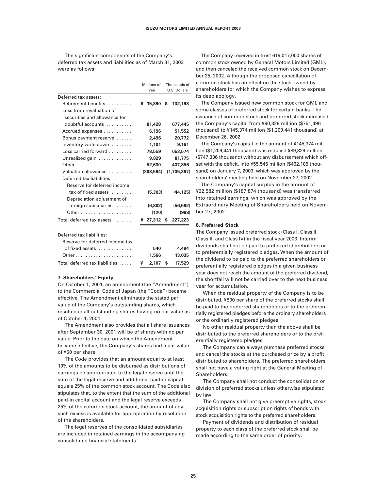The significant components of the Company's deferred tax assets and liabilities as of March 31, 2003 were as follows:

|                                 | Millions of<br>Yen | Thousands of<br>U.S. Dollars |
|---------------------------------|--------------------|------------------------------|
| Deferred tax assets:            |                    |                              |
| Retirement benefits             | ¥<br>15,890        | \$<br>132,198                |
| Loss from revaluation of        |                    |                              |
| securities and allowance for    |                    |                              |
| doubtful accounts               | 81,428             | 677,445                      |
| Accrued expenses                | 6,196              | 51,552                       |
| Bonus payment reserve           | 2,496              | 20.772                       |
| Inventory write down            | 1,101              | 9,161                        |
| Loss carried forward            | 78,559             | 653,574                      |
| Unrealized gain                 | 9,829              | 81,775                       |
| Other                           | 52,630             | 437,856                      |
| Valuation allowance             | (208, 594)         | (1,735,397)                  |
| Deferred tax liabilities        |                    |                              |
| Reserve for deferred income     |                    |                              |
| tax of fixed assets             | (5,303)            | (44,125)                     |
| Depreciation adjustment of      |                    |                              |
| foreign subsidiaries            | (6,802)            | (56, 592)                    |
|                                 | (120)              | (998)                        |
| Total deferred tax assets       | $427.312$ \$       | 227,223                      |
| Deferred tax liabilities:       |                    |                              |
| Reserve for deferred income tax |                    |                              |
| of fixed assets                 | 540                | 4,494                        |
|                                 | 1,566              | 13,035                       |
| Total deferred tax liabilities  | 2,107<br>¥         | \$<br>17,529                 |

#### **7. Shareholders' Equity**

On October 1, 2001, an amendment (the "Amendment") to the Commercial Code of Japan (the "Code") became effective. The Amendment eliminates the stated par value of the Company's outstanding shares, which resulted in all outstanding shares having no par value as of October 1, 2001.

The Amendment also provides that all share issuances after September 30, 2001 will be of shares with no par value. Prior to the date on which the Amendment became effective, the Company's shares had a par value of ¥50 per share.

The Code provides that an amount equal to at least 10% of the amounts to be disbursed as distributions of earnings be appropriated to the legal reserve until the sum of the legal reserve and additional paid-in capital equals 25% of the common stock account. The Code also stipulates that, to the extent that the sum of the additional paid-in capital account and the legal reserve exceeds 25% of the common stock account, the amount of any such excess is available for appropriation by resolution of the shareholders.

The legal reserves of the consolidated subsidiaries are included in retained earnings in the accompanying consolidated financial statements.

The Company received in trust 619,017,000 shares of common stock owned by General Motors Limited (GML), and then canceled the received common stock on December 25, 2002. Although the proposed cancellation of common stock has no effect on the stock owned by shareholders for which the Company wishes to express its deep apology.

The Company issued new common stock for GML and some classes of preferred stock for certain banks. The issuance of common stock and preferred stock increased the Company's capital from ¥90,329 million (\$751,496 thousand) to ¥145,374 million (\$1,209,441 thousand) at December 26, 2002.

The Company's capital in the amount of ¥145,374 million (\$1,209,441 thousand) was reduced ¥89,829 million (\$747,336 thousand) without any disbursement which offset with the deficit, into ¥55,545 million (\$462,105 thousand) on January 7, 2003, which was approved by the shareholders' meeting held on November 27, 2002.

The Company's capital surplus in the amount of ¥22,582 million (\$187,874 thousand) was transferred into retained earnings, which was approved by the Extraordinary Meeting of Shareholders held on November 27, 2002.

#### **8. Preferred Stock**

The Company issued preferred stock (Class I, Class II, Class III and Class IV) in the fiscal year 2003. Interim dividends shall not be paid to preferred shareholders or to preferentially registered pledges. When the amount of the dividend to be paid to the preferred shareholders or preferentially registered pledges in a given business year does not reach the amount of the preferred dividend, the shortfall will not be carried over to the next business year for accumulation.

When the residual property of the Company is to be distributed, ¥800 per share of the preferred stocks shall be paid to the preferred shareholders or to the preferentially registered pledges before the ordinary shareholders or the ordinarily registered pledges.

No other residual property than the above shall be distributed to the preferred shareholders or to the preferentially registered pledges.

The Company can always purchase preferred stocks and cancel the stocks at the purchased price by a profit distributed to shareholders. The preferred shareholders shall not have a voting right at the General Meeting of **Shareholders** 

The Company shall not conduct the consolidation or division of preferred stocks unless otherwise stipulated by law.

The Company shall not give preemptive rights, stock acquisition rights or subscription rights of bonds with stock acquisition rights to the preferred shareholders.

Payment of dividends and distribution of residual property to each class of the preferred stock shall be made according to the same order of priority.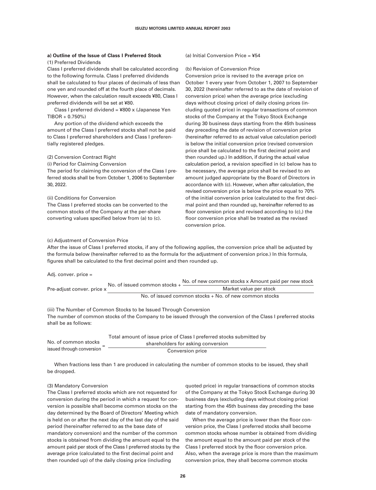#### **a) Outline of the Issue of Class I Preferred Stock** (1) Preferred Dividends

Class I preferred dividends shall be calculated according to the following formula. Class I preferred dividends shall be calculated to four places of decimals of less than one yen and rounded off at the fourth place of decimals. However, when the calculation result exceeds ¥80, Class I preferred dividends will be set at ¥80.

Class I preferred dividend = ¥800 x (Japanese Yen TIBOR + 0.750%)

Any portion of the dividend which exceeds the amount of the Class I preferred stocks shall not be paid to Class I preferred shareholders and Class I preferentially registered pledges.

#### (2) Conversion Contract Right

(i) Period for Claiming Conversion

The period for claiming the conversion of the Class I preferred stocks shall be from October 1, 2006 to September 30, 2022.

(ii) Conditions for Conversion

The Class I preferred stocks can be converted to the common stocks of the Company at the per-share converting values specified below from (a) to (c).

#### (a) Initial Conversion Price = ¥54

#### (b) Revision of Conversion Price

Conversion price is revised to the average price on October 1 every year from October 1, 2007 to September 30, 2022 (hereinafter referred to as the date of revision of conversion price) when the average price (excluding days without closing price) of daily closing prices (including quoted price) in regular transactions of common stocks of the Company at the Tokyo Stock Exchange during 30 business days starting from the 45th business day preceding the date of revision of conversion price (hereinafter referred to as actual value calculation period) is below the initial conversion price (revised conversion price shall be calculated to the first decimal point and then rounded up.) In addition, if during the actual value calculation period, a revision specified in (c) below has to be necessary, the average price shall be revised to an amount judged appropriate by the Board of Directors in accordance with (c). However, when after calculation, the revised conversion price is below the price equal to 70% of the initial conversion price (calculated to the first decimal point and then rounded up, hereinafter referred to as floor conversion price and revised according to (c),) the floor conversion price shall be treated as the revised conversion price.

#### (c) Adjustment of Conversion Price

After the issue of Class I preferred stocks, if any of the following applies, the conversion price shall be adjusted by the formula below (hereinafter referred to as the formula for the adjustment of conversion price.) In this formula, figures shall be calculated to the first decimal point and then rounded up.

Adj. conver. price =

| Pre-adjust conver, price x | No. of issued common stocks $+$ $-$ | No. of new common stocks x Amount paid per new stock   |
|----------------------------|-------------------------------------|--------------------------------------------------------|
|                            |                                     | Market value per stock                                 |
|                            |                                     | No. of issued common stocks + No. of new common stocks |

(iii) The Number of Common Stocks to be Issued Through Conversion The number of common stocks of the Company to be issued through the conversion of the Class I preferred stocks shall be as follows:

|                           | Total amount of issue price of Class I preferred stocks submitted by |
|---------------------------|----------------------------------------------------------------------|
| No. of common stocks      | shareholders for asking conversion                                   |
| issued through conversion | Conversion price                                                     |

When fractions less than 1 are produced in calculating the number of common stocks to be issued, they shall be dropped.

#### (3) Mandatory Conversion

The Class I preferred stocks which are not requested for conversion during the period in which a request for conversion is possible shall become common stocks on the day determined by the Board of Directors' Meeting which is held on or after the next day of the last day of the said period (hereinafter referred to as the base date of mandatory conversion) and the number of the common stocks is obtained from dividing the amount equal to the amount paid per stock of the Class I preferred stocks by the average price (calculated to the first decimal point and then rounded up) of the daily closing price (including

quoted price) in regular transactions of common stocks of the Company at the Tokyo Stock Exchange during 30 business days (excluding days without closing price) starting from the 45th business day preceding the base date of mandatory conversion.

When the average price is lower than the floor conversion price, the Class I preferred stocks shall become common stocks whose number is obtained from dividing the amount equal to the amount paid per stock of the Class I preferred stock by the floor conversion price. Also, when the average price is more than the maximum conversion price, they shall become common stocks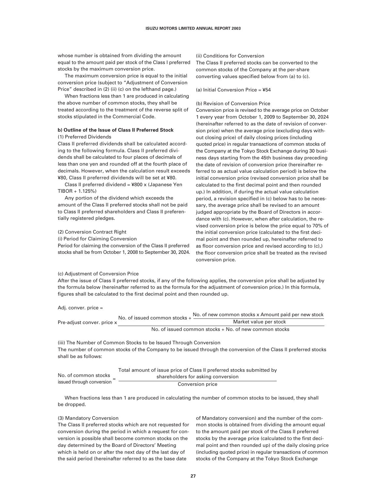whose number is obtained from dividing the amount equal to the amount paid per stock of the Class I preferred stocks by the maximum conversion price.

The maximum conversion price is equal to the initial conversion price (subject to "Adjustment of Conversion Price" described in (2) (ii) (c) on the lefthand page.)

When fractions less than 1 are produced in calculating the above number of common stocks, they shall be treated according to the treatment of the reverse split of stocks stipulated in the Commercial Code.

#### **b) Outline of the Issue of Class II Preferred Stock**

#### (1) Preferred Dividends

Class II preferred dividends shall be calculated according to the following formula. Class II preferred dividends shall be calculated to four places of decimals of less than one yen and rounded off at the fourth place of decimals. However, when the calculation result exceeds ¥80, Class II preferred dividends will be set at ¥80.

Class II preferred dividend = ¥800 x (Japanese Yen TIBOR + 1.125%)

Any portion of the dividend which exceeds the amount of the Class II preferred stocks shall not be paid to Class II preferred shareholders and Class II preferentially registered pledges.

#### (2) Conversion Contract Right

(i) Period for Claiming Conversion

Period for claiming the conversion of the Class II preferred stocks shall be from October 1, 2008 to September 30, 2024.

#### (c) Adjustment of Conversion Price

(ii) Conditions for Conversion

The Class II preferred stocks can be converted to the common stocks of the Company at the per-share converting values specified below from (a) to (c).

(a) Initial Conversion Price = ¥54

#### (b) Revision of Conversion Price

Conversion price is revised to the average price on October 1 every year from October 1, 2009 to September 30, 2024 (hereinafter referred to as the date of revision of conversion price) when the average price (excluding days without closing price) of daily closing prices (including quoted price) in regular transactions of common stocks of the Company at the Tokyo Stock Exchange during 30 business days starting from the 45th business day preceding the date of revision of conversion price (hereinafter referred to as actual value calculation period) is below the initial conversion price (revised conversion price shall be calculated to the first decimal point and then rounded up.) In addition, if during the actual value calculation period, a revision specified in (c) below has to be necessary, the average price shall be revised to an amount judged appropriate by the Board of Directors in accordance with (c). However, when after calculation, the revised conversion price is below the price equal to 70% of the initial conversion price (calculated to the first decimal point and then rounded up, hereinafter referred to as floor conversion price and revised according to (c),) the floor conversion price shall be treated as the revised conversion price.

After the issue of Class II preferred stocks, if any of the following applies, the conversion price shall be adjusted by the formula below (hereinafter referred to as the formula for the adjustment of conversion price.) In this formula, figures shall be calculated to the first decimal point and then rounded up.

Adj. conver. price =

| Pre-adjust conver, price x | No. of issued common stocks $+$ $-$                    | No. of new common stocks x Amount paid per new stock |  |
|----------------------------|--------------------------------------------------------|------------------------------------------------------|--|
|                            |                                                        | Market value per stock                               |  |
|                            | No. of issued common stocks + No. of new common stocks |                                                      |  |

(iii) The Number of Common Stocks to be Issued Through Conversion The number of common stocks of the Company to be issued through the conversion of the Class II preferred stocks shall be as follows:

|                           | Total amount of issue price of Class II preferred stocks submitted by |
|---------------------------|-----------------------------------------------------------------------|
| No. of common stocks      | shareholders for asking conversion                                    |
| issued through conversion | Conversion price                                                      |

When fractions less than 1 are produced in calculating the number of common stocks to be issued, they shall be dropped.

#### (3) Mandatory Conversion

The Class II preferred stocks which are not requested for conversion during the period in which a request for conversion is possible shall become common stocks on the day determined by the Board of Directors' Meeting which is held on or after the next day of the last day of the said period (hereinafter referred to as the base date

of Mandatory conversion) and the number of the common stocks is obtained from dividing the amount equal to the amount paid per stock of the Class II preferred stocks by the average price (calculated to the first decimal point and then rounded up) of the daily closing price (including quoted price) in regular transactions of common stocks of the Company at the Tokyo Stock Exchange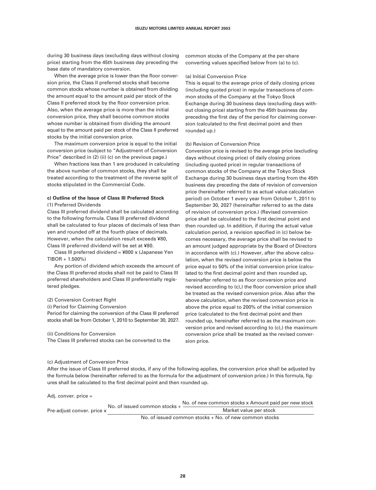during 30 business days (excluding days without closing price) starting from the 45th business day preceding the base date of mandatory conversion.

When the average price is lower than the floor conversion price, the Class II preferred stocks shall become common stocks whose number is obtained from dividing the amount equal to the amount paid per stock of the Class II preferred stock by the floor conversion price. Also, when the average price is more than the initial conversion price, they shall become common stocks whose number is obtained from dividing the amount equal to the amount paid per stock of the Class II preferred stocks by the initial conversion price.

The maximum conversion price is equal to the initial conversion price (subject to "Adjustment of Conversion Price" described in (2) (ii) (c) on the previous page.)

When fractions less than 1 are produced in calculating the above number of common stocks, they shall be treated according to the treatment of the reverse split of stocks stipulated in the Commercial Code.

#### **c) Outline of the Issue of Class III Preferred Stock** (1) Preferred Dividends

Class III preferred dividend shall be calculated according to the following formula. Class III preferred dividend shall be calculated to four places of decimals of less than yen and rounded off at the fourth place of decimals. However, when the calculation result exceeds ¥80, Class III preferred dividend will be set at ¥80.

Class III preferred dividend = ¥800 x (Japanese Yen TIBOR + 1.500%)

Any portion of dividend which exceeds the amount of the Class III preferred stocks shall not be paid to Class III preferred shareholders and Class III preferentially registered pledges.

#### (2) Conversion Contract Right

(i) Period for Claiming Conversion

Period for claiming the conversion of the Class III preferred stocks shall be from October 1, 2010 to September 30, 2027.

(ii) Conditions for Conversion

The Class III preferred stocks can be converted to the

#### (c) Adjustment of Conversion Price

After the issue of Class III preferred stocks, if any of the following applies, the conversion price shall be adjusted by the formula below (hereinafter referred to as the formula for the adjustment of conversion price.) In this formula, figures shall be calculated to the first decimal point and then rounded up.

Adj. conver. price = Pre-adjust conver. price x No. of issued common stocks + No. of new common stocks x Amount paid per new stock Market value per stock

No. of issued common stocks + No. of new common stocks

common stocks of the Company at the per-share converting values specified below from (a) to (c).

#### (a) Initial Conversion Price

This is equal to the average price of daily closing prices (including quoted price) in regular transactions of common stocks of the Company at the Tokyo Stock Exchange during 30 business days (excluding days without closing price) starting from the 45th business day preceding the first day of the period for claiming conversion (calculated to the first decimal point and then rounded up.)

#### (b) Revision of Conversion Price

Conversion price is revised to the average price (excluding days without closing price) of daily closing prices (including quoted price) in regular transactions of common stocks of the Company at the Tokyo Stock Exchange during 30 business days starting from the 45th business day preceding the date of revision of conversion price (hereinafter referred to as actual value calculation period) on October 1 every year from October 1, 2011 to September 30, 2027 (hereinafter referred to as the date of revision of conversion price.) (Revised conversion price shall be calculated to the first decimal point and then rounded up. In addition, if during the actual value calculation period, a revision specified in (c) below becomes necessary, the average price shall be revised to an amount judged appropriate by the Board of Directors in accordance with (c).) However, after the above calculation, when the revised conversion price is below the price equal to 50% of the initial conversion price (calculated to the first decimal point and then rounded up, hereinafter referred to as floor conversion price and revised according to (c),) the floor conversion price shall be treated as the revised conversion price. Also after the above calculation, when the revised conversion price is above the price equal to 200% of the initial conversion price (calculated to the first decimal point and then rounded up, hereinafter referred to as the maximum conversion price and revised according to (c),) the maximum conversion price shall be treated as the revised conversion price.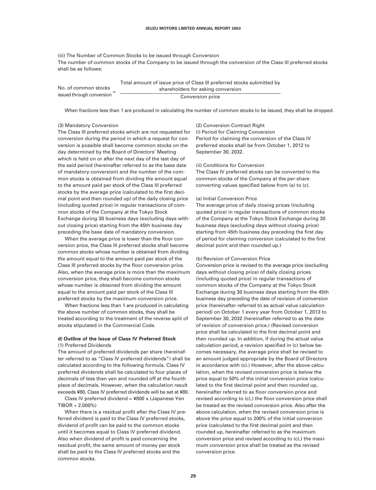(iii) The Number of Common Stocks to be issued through Conversion The number of common stocks of the Company to be issued through the conversion of the Class III preferred stocks shall be as follows:

> = Total amount of issue price of Class III preferred stocks submitted by shareholders for asking conversion Conversion price

When fractions less than 1 are produced in calculating the number of common stocks to be issued, they shall be dropped.

#### (3) Mandatory Conversion

No. of common stocks

issued through conversion

The Class III preferred stocks which are not requested for conversion during the period in which a request for conversion is possible shall become common stocks on the day determined by the Board of Directors' Meeting which is held on or after the next day of the last day of the said period (hereinafter referred to as the base date of mandatory conversion) and the number of the common stocks is obtained from dividing the amount equal to the amount paid per stock of the Class III preferred stocks by the average price (calculated to the first decimal point and then rounded up) of the daily closing price (including quoted price) in regular transactions of common stocks of the Company at the Tokyo Stock Exchange during 30 business days (excluding days without closing price) starting from the 45th business day preceding the base date of mandatory conversion.

When the average price is lower than the floor conversion price, the Class III preferred stocks shall become common stocks whose number is obtained from dividing the amount equal to the amount paid per stock of the Class III preferred stocks by the floor conversion price. Also, when the average price is more than the maximum conversion price, they shall become common stocks whose number is obtained from dividing the amount equal to the amount paid per stock of the Class III preferred stocks by the maximum conversion price.

When fractions less than 1 are produced in calculating the above number of common stocks, they shall be treated according to the treatment of the reverse split of stocks stipulated in the Commercial Code.

#### **d) Outline of the Issue of Class IV Preferred Stock** (1) Preferred Dividends

The amount of preferred dividends per share (hereinafter referred to as "Class IV preferred dividends") shall be calculated according to the following formula. Class IV preferred dividends shall be calculated to four places of decimals of less than yen and rounded off at the fourth place of decimals. However, when the calculation result exceeds ¥80, Class IV preferred dividends will be set at ¥80.

Class IV preferred dividend =  $4800 \times$  (Japanese Yen TIBOR + 2.000%)

When there is a residual profit after the Class IV preferred dividend is paid to the Class IV preferred stocks, dividend of profit can be paid to the common stocks until it becomes equal to Class IV preferred dividend. Also when dividend of profit is paid concerning the residual profit, the same amount of money per stock shall be paid to the Class IV preferred stocks and the common stocks.

(2) Conversion Contract Right (i) Period for Claiming Conversion Period for claiming the conversion of the Class IV preferred stocks shall be from October 1, 2012 to September 30, 2032.

#### (ii) Conditions for Conversion

The Class IV preferred stocks can be converted to the common stocks of the Company at the per-share converting values specified below from (a) to (c).

#### (a) Initial Conversion Price

The average price of daily closing prices (including quoted price) in regular transactions of common stocks of the Company at the Tokyo Stock Exchange during 30 business days (excluding days without closing price) starting from 45th business day preceding the first day of period for claiming conversion (calculated to the first decimal point and then rounded up.)

#### (b) Revision of Conversion Price

Conversion price is revised to the average price (excluding days without closing price) of daily closing prices (including quoted price) in regular transactions of common stocks of the Company at the Tokyo Stock Exchange during 30 business days starting from the 45th business day preceding the date of revision of conversion price (hereinafter referred to as actual value calculation period) on October 1 every year from October 1, 2013 to September 30, 2032 (hereinafter referred to as the date of revision of conversion price.) (Revised conversion price shall be calculated to the first decimal point and then rounded up. In addition, if during the actual value calculation period, a revision specified in (c) below becomes necessary, the average price shall be revised to an amount judged appropriate by the Board of Directors in accordance with (c).) However, after the above calculation, when the revised conversion price is below the price equal to 50% of the initial conversion price (calculated to the first decimal point and then rounded up, hereinafter referred to as floor conversion price and revised according to (c),) the floor conversion price shall be treated as the revised conversion price. Also after the above calculation, when the revised conversion price is above the price equal to 200% of the initial conversion price (calculated to the first decimal point and then rounded up, hereinafter referred to as the maximum conversion price and revised according to (c),) the maximum conversion price shall be treated as the revised conversion price.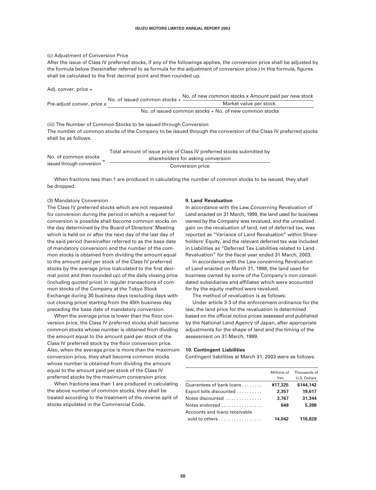#### (c) Adjustment of Conversion Price

After the issue of Class IV preferred stocks, if any of the followings applies, the conversion price shall be adjusted by the formula below (hereinafter referred to as formula for the adjustment of conversion price.) In this formula, figures shall be calculated to the first decimal point and then rounded up.

Adj. conver. price =

|                            | No. of issued common stocks $+$ | No. of new common stocks x Amount paid per new stock   |  |
|----------------------------|---------------------------------|--------------------------------------------------------|--|
| Pre-adiust conver, price x |                                 | Market value per stock                                 |  |
|                            |                                 | No. of issued common stocks + No. of new common stocks |  |

(iii) The Number of Common Stocks to be issued through Conversion The number of common stocks of the Company to be issued through the conversion of the Class IV preferred stocks shall be as follows.

|                           | Total amount of issue price of Class IV preferred stocks submitted by |
|---------------------------|-----------------------------------------------------------------------|
| No. of common stocks      | shareholders for asking conversion                                    |
| issued through conversion | Conversion price                                                      |

When fractions less than 1 are produced in calculating the number of common stocks to be issued, they shall be dropped.

#### (3) Mandatory Conversion

The Class IV preferred stocks which are not requested for conversion during the period in which a request for conversion is possible shall become common stocks on the day determined by the Board of Directors' Meeting which is held on or after the next day of the last day of the said period (hereinafter referred to as the base date of mandatory conversion) and the number of the common stocks is obtained from dividing the amount equal to the amount paid per stock of the Class IV preferred stocks by the average price (calculated to the first decimal point and then rounded up) of the daily closing price (including quoted price) in regular transactions of common stocks of the Company at the Tokyo Stock Exchange during 30 business days (excluding days without closing price) starting from the 45th business day preceding the base date of mandatory conversion.

When the average price is lower than the floor conversion price, the Class IV preferred stocks shall become common stocks whose number is obtained from dividing the amount equal to the amount paid per stock of the Class IV preferred stock by the floor conversion price. Also, when the average price is more than the maximum conversion price, they shall become common stocks whose number is obtained from dividing the amount equal to the amount paid per stock of the Class IV preferred stocks by the maximum conversion price.

When fractions less than 1 are produced in calculating the above number of common stocks, they shall be treated according to the treatment of the reverse split of stocks stipulated in the Commercial Code.

#### **9. Land Revaluation**

In accordance with the Law Concerning Revaluation of Land enacted on 31 March, 1999, the land used for business owned by the Company was revalued, and the unrealized gain on the revaluation of land, net of deferred tax, was reported as "Variance of Land Revaluation" within Shareholders' Equity, and the relevant deferred tax was included in Liabilities as "Deferred Tax Liabilities related to Land Revaluation" for the fiscal year ended 31 March, 2003.

In accordance with the Law concerning Revaluation of Land enacted on March 31, 1998, the land used for business owned by some of the Company's non-consolidated subsidiaries and affiliates which were accounted for by the equity method were revalued.

The method of revaluation is as follows:

Under article 3-3 of the enforcement ordinance for the law, the land price for the revaluation is determined based on the official notice prices assessed and published by the National Land Agency of Japan, after appropriate adjustments for the shape of land and the timing of the assessment on 31 March, 1999.

#### **10. Contingent Liabilities**

Contingent liabilities at March 31, 2003 were as follows:

|                                               | Millions of | Thousands of |
|-----------------------------------------------|-------------|--------------|
|                                               | Yen         | U.S. Dollars |
| Guarantees of bank loans                      | ¥17,325     | \$144,142    |
| Export bills discounted                       | 2,357       | 19,617       |
| Notes discounted                              | 3,767       | 31,344       |
| Notes endorsed $\ldots$ , $\ldots$ , $\ldots$ | 648         | 5,398        |
| Accounts and loans receivable                 |             |              |
| sold to others $\dots \dots \dots \dots$      | 14.042      | 116,828      |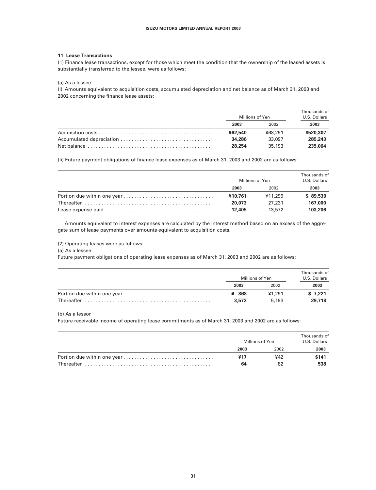#### **11. Lease Transactions**

(1) Finance lease transactions, except for those which meet the condition that the ownership of the leased assets is substantially transferred to the lessee, were as follows:

(a) As a lessee

(i) Amounts equivalent to acquisition costs, accumulated depreciation and net balance as of March 31, 2003 and 2002 concerning the finance lease assets:

| Millions of Yen |         | Thousands of<br>U.S. Dollars |
|-----------------|---------|------------------------------|
| 2003            | 2002    | 2003                         |
| ¥62.540         | ¥68.291 | \$520,307                    |
| 34.286          | 33.097  | 285,243                      |
| 28,254          | 35,193  | 235.064                      |

(ii) Future payment obligations of finance lease expenses as of March 31, 2003 and 2002 are as follows:

| Millions of Yen |         | Thousands of<br>U.S. Dollars |
|-----------------|---------|------------------------------|
| 2003            | 2002    | 2003                         |
| ¥10,761         | ¥11,299 | \$89.530                     |
| 20,073          | 27.231  | 167,000                      |
| 12.405          | 13.572  | 103,206                      |

Amounts equivalent to interest expenses are calculated by the interest method based on an excess of the aggregate sum of lease payments over amounts equivalent to acquisition costs.

(2) Operating leases were as follows:

(a) As a lessee

Future payment obligations of operating lease expenses as of March 31, 2003 and 2002 are as follows:

| Millions of Yen |        | Thousands of<br>U.S. Dollars |
|-----------------|--------|------------------------------|
| 2003            | 2002   | 2003                         |
| ¥ 868           | ¥1.291 | \$7.221                      |
| 3,572           | 5.193  | 29,718                       |

(b) As a lessor

Future receivable income of operating lease commitments as of March 31, 2003 and 2002 are as follows:

| Millions of Yen |      | Thousands of<br>U.S. Dollars |  |
|-----------------|------|------------------------------|--|
| 2003            | 2002 | 2003                         |  |
| ¥17             | ¥42  | \$141                        |  |
| 64              | 82   | 538                          |  |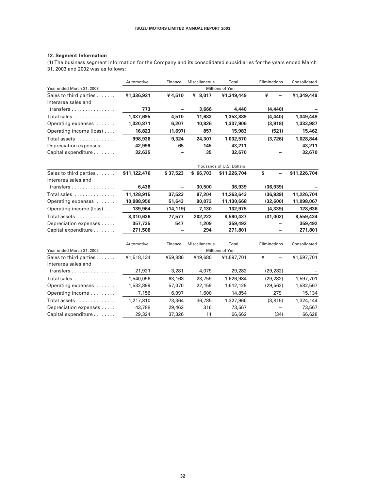#### **12. Segment Information**

(1) The business segment information for the Company and its consolidated subsidiaries for the years ended March 31, 2003 and 2002 was as follows:

|                                         | Automotive   | Finance   | Miscellaneous | Total                     | Eliminations | Consolidated |
|-----------------------------------------|--------------|-----------|---------------|---------------------------|--------------|--------------|
| Year ended March 31, 2003               |              |           |               | Millions of Yen           |              |              |
| Sales to third parties                  | ¥1,336,921   | ¥4,510    | ¥ 8,017       | ¥1,349,449                | ¥            | ¥1,349,449   |
| Interarea sales and                     |              |           |               |                           |              |              |
| transfers                               | 773          | -         | 3,666         | 4,440                     | (4, 440)     |              |
| Total sales                             | 1,337,695    | 4,510     | 11,683        | 1,353,889                 | (4, 440)     | 1,349,449    |
| Operating expenses                      | 1,320,871    | 6,207     | 10,826        | 1,337,906                 | (3,918)      | 1,333,987    |
| Operating income (loss)                 | 16,823       | (1,697)   | 857           | 15,983                    | (521)        | 15,462       |
| Total assets                            | 998,938      | 9,324     | 24,307        | 1,032,570                 | (3,726)      | 1,028,844    |
| Depreciation expenses                   | 42,999       | 65        | 145           | 43,211                    |              | 43,211       |
| Capital expenditure                     | 32,635       |           | 35            | 32,670                    |              | 32,670       |
|                                         |              |           |               | Thousands of U.S. Dollars |              |              |
| Sales to third parties                  | \$11,122,476 | \$37,523  | \$66,703      | \$11,226,704              | \$           | \$11,226,704 |
| Interarea sales and                     |              |           |               |                           |              |              |
| transfers $\ldots \ldots \ldots \ldots$ | 6,438        |           | 30,500        | 36,939                    | (36, 939)    |              |
| Total sales                             | 11,128,915   | 37,523    | 97,204        | 11,263,643                | (36, 939)    | 11,226,704   |
| Operating expenses                      | 10,988,950   | 51,643    | 90,073        | 11,130,668                | (32,600)     | 11,098,067   |
| Operating income (loss)                 | 139,964      | (14, 119) | 7,130         | 132,975                   | (4, 339)     | 128,636      |
| Total assets                            | 8,310,636    | 77,577    | 202,222       | 8,590,437                 | (31,002)     | 8,559,434    |
| Depreciation expenses                   | 357,735      | 547       | 1,209         | 359,492                   |              | 359,492      |
| Capital expenditure                     | 271,506      |           | 294           | 271,801                   |              | 271,801      |
|                                         | Automotive   | Finance   | Miscellaneous | Total                     | Eliminations | Consolidated |
| Year ended March 31, 2002               |              |           |               | Millions of Yen           |              |              |
| Sales to third parties                  | ¥1,518,134   | ¥59,886   | ¥19,680       | ¥1,597,701                | ¥            | ¥1,597,701   |
| Interarea sales and                     |              |           |               |                           |              |              |
| transfers                               | 21,921       | 3,281     | 4,079         | 29,282                    | (29, 282)    |              |
| Total sales                             | 1,540,056    | 63,168    | 23,759        | 1,626,984                 | (29, 282)    | 1,597,701    |
| Operating expenses                      | 1,532,899    | 57,070    | 22,159        | 1,612,129                 | (29, 562)    | 1,582,567    |
| Operating income                        | 7,156        | 6,097     | 1,600         | 14,854                    | 279          | 15,134       |
| Total assets                            | 1,217,810    | 73,364    | 36,785        | 1,327,960                 | (3,815)      | 1,324,144    |
| Depreciation expenses                   | 43,788       | 29,462    | 316           | 73,567                    |              | 73,567       |
| Capital expenditure                     | 29,324       | 37,326    | 11            | 66,662                    | (34)         | 66,628       |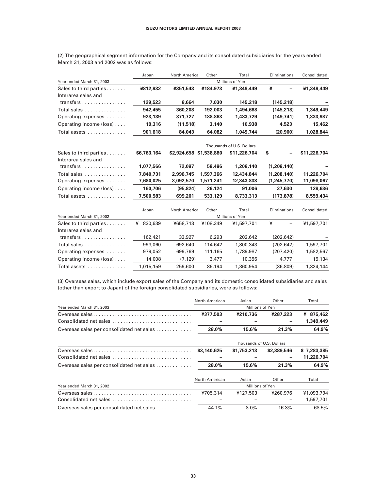|                                               | Japan        | North America           | Other     | Total                     | Eliminations | Consolidated |
|-----------------------------------------------|--------------|-------------------------|-----------|---------------------------|--------------|--------------|
| Year ended March 31, 2003                     |              |                         |           | Millions of Yen           |              |              |
| Sales to third parties<br>Interarea sales and | ¥812,932     | ¥351.543                | ¥184,973  | ¥1.349.449                | ¥            | ¥1,349,449   |
| transfers                                     | 129,523      | 8,664                   | 7,030     | 145,218                   | (145, 218)   |              |
| Total sales                                   | 942,455      | 360,208                 | 192,003   | 1,494,668                 | (145.218)    | 1,349,449    |
| Operating expenses                            | 923,139      | 371,727                 | 188,863   | 1,483,729                 | (149, 741)   | 1,333,987    |
| Operating income (loss)                       | 19,316       | (11, 518)               | 3,140     | 10,938                    | 4,523        | 15,462       |
| Total assets                                  | 901,618      | 84,043                  | 64,082    | 1,049,744                 | (20, 900)    | 1,028,844    |
|                                               |              |                         |           | Thousands of U.S. Dollars |              |              |
| Sales to third parties<br>Interarea sales and | \$6,763,164  | \$2,924,658 \$1,538,880 |           | \$11,226,704              | \$           | \$11,226,704 |
| transfers                                     | 1,077,566    | 72,087                  | 58,486    | 1,208,140                 | (1,208,140)  |              |
| Total sales                                   | 7,840,731    | 2,996,745               | 1,597,366 | 12,434,844                | (1,208,140)  | 11,226,704   |
| Operating expenses                            | 7,680,025    | 3,092,570               | 1,571,241 | 12,343,838                | (1,245,770)  | 11,098,067   |
| Operating income (loss)                       | 160,706      | (95, 824)               | 26,124    | 91,006                    | 37,630       | 128,636      |
| Total assets                                  | 7,500,983    | 699,201                 | 533,129   | 8,733,313                 | (173, 878)   | 8,559,434    |
|                                               | Japan        | North America           | Other     | Total                     | Eliminations | Consolidated |
| Year ended March 31, 2002                     |              |                         |           | Millions of Yen           |              |              |
| Sales to third parties                        | 830,639<br>¥ | ¥658,713                | ¥108,349  | ¥1,597,701                | ¥            | ¥1,597,701   |
| Interarea sales and                           |              |                         |           |                           |              |              |
| transfers                                     | 162,421      | 33,927                  | 6,293     | 202,642                   | (202, 642)   |              |
| Total sales                                   | 993,060      | 692,640                 | 114,642   | 1,800,343                 | (202.642)    | 1,597,701    |
| Operating expenses                            | 979,052      | 699,769                 | 111,165   | 1,789,987                 | (207,420)    | 1,582,567    |
| Operating income (loss)                       | 14,008       | (7, 129)                | 3,477     | 10,356                    | 4,777        | 15,134       |
| Total assets                                  | 1,015,159    | 259,600                 | 86,194    | 1,360,954                 | (36,809)     | 1,324,144    |

(2) The geographical segment information for the Company and its consolidated subsidiaries for the years ended March 31, 2003 and 2002 was as follows:

(3) Overseas sales, which include export sales of the Company and its domestic consolidated subsidiaries and sales (other than export to Japan) of the foreign consolidated subsidiaries, were as follows:

|                                           | North American  | Asian                     | Other       | Total        |  |
|-------------------------------------------|-----------------|---------------------------|-------------|--------------|--|
| Year ended March 31, 2003                 | Millions of Yen |                           |             |              |  |
|                                           | ¥377,503        | ¥210,736                  | ¥287,223    | 875,462<br>¥ |  |
| Consolidated net sales                    |                 |                           |             | 1,349,449    |  |
| Overseas sales per consolidated net sales | 28.0%           | 15.6%                     | 21.3%       | 64.9%        |  |
|                                           |                 | Thousands of U.S. Dollars |             |              |  |
|                                           | \$3,140,625     | \$1,753,213               | \$2,389,546 | \$7,283,385  |  |
| Consolidated net sales                    |                 |                           |             | 11,226,704   |  |
| Overseas sales per consolidated net sales | 28.0%           | 15.6%                     | 21.3%       | 64.9%        |  |
|                                           | North American  | Asian                     | Other       | Total        |  |
| Year ended March 31, 2002                 | Millions of Yen |                           |             |              |  |
|                                           | ¥705,314        | ¥127,503                  | ¥260,976    | ¥1,093,794   |  |
| Consolidated net sales                    |                 |                           |             | 1,597,701    |  |
| Overseas sales per consolidated net sales | 44.1%           | $8.0\%$                   | 16.3%       | 68.5%        |  |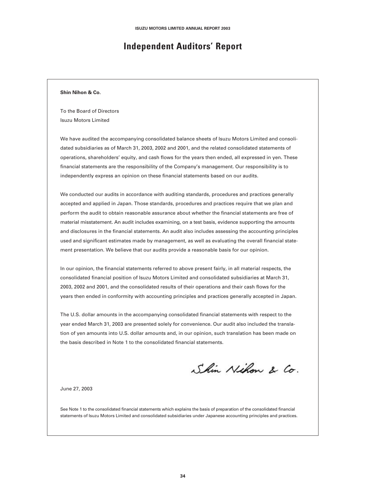### **Independent Auditors' Report**

#### **Shin Nihon & Co.**

To the Board of Directors Isuzu Motors Limited

We have audited the accompanying consolidated balance sheets of Isuzu Motors Limited and consolidated subsidiaries as of March 31, 2003, 2002 and 2001, and the related consolidated statements of operations, shareholders' equity, and cash flows for the years then ended, all expressed in yen. These financial statements are the responsibility of the Company's management. Our responsibility is to independently express an opinion on these financial statements based on our audits.

We conducted our audits in accordance with auditing standards, procedures and practices generally accepted and applied in Japan. Those standards, procedures and practices require that we plan and perform the audit to obtain reasonable assurance about whether the financial statements are free of material misstatement. An audit includes examining, on a test basis, evidence supporting the amounts and disclosures in the financial statements. An audit also includes assessing the accounting principles used and significant estimates made by management, as well as evaluating the overall financial statement presentation. We believe that our audits provide a reasonable basis for our opinion.

In our opinion, the financial statements referred to above present fairly, in all material respects, the consolidated financial position of Isuzu Motors Limited and consolidated subsidiaries at March 31, 2003, 2002 and 2001, and the consolidated results of their operations and their cash flows for the years then ended in conformity with accounting principles and practices generally accepted in Japan.

The U.S. dollar amounts in the accompanying consolidated financial statements with respect to the year ended March 31, 2003 are presented solely for convenience. Our audit also included the translation of yen amounts into U.S. dollar amounts and, in our opinion, such translation has been made on the basis described in Note 1 to the consolidated financial statements.

Shin Nihon & Co.

June 27, 2003

See Note 1 to the consolidated financial statements which explains the basis of preparation of the consolidated financial statements of Isuzu Motors Limited and consolidated subsidiaries under Japanese accounting principles and practices.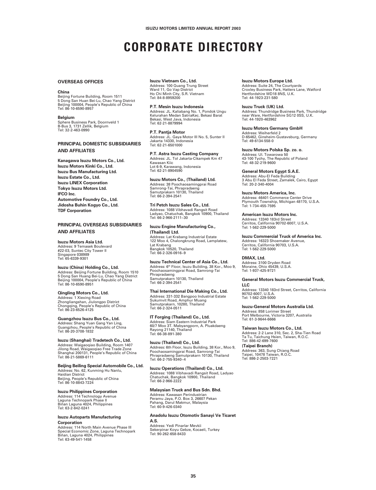## **CORPORATE DIRECTORY**

#### **OVERSEAS OFFICES**

#### **China**

Beijing Fortune Building, Room 1511 5 Dong San Huan Bei-Lu, Chao Yang District Beijing 100004, People's Republic of China Tel: 86-10-6590-8957

**Belgium** Sphere Business Park, Doornveld 1 B-Bus 3, 1731 Zellik, Belgium Tel: 32-2-463-0990

**PRINCIPAL DOMESTIC SUBSIDIARIES AND AFFILIATES**

**Kanagawa Isuzu Motors Co., Ltd. Isuzu Motors Kinki Co., Ltd. Isuzu Bus Manufacturing Ltd. Isuzu Estate Co., Ltd. Isuzu LINEX Corporation Tokyo Isuzu Motors Ltd. IFCO Inc. Automotive Foundry Co., Ltd. Jidosha Buhin Kogyo Co., Ltd. TDF Corporation**

#### **PRINCIPAL OVERSEAS SUBSIDIARIES AND AFFILIATES**

**Isuzu Motors Asia Ltd.** Address: 9 Temasek Boulevard #22-03, Suntec City Tower II Singapore 038989 Tel: 65-6339-9301

**Isuzu (China) Holding Co., Ltd.** Address: Beijing Fortune Building, Room 1510 5 Dong San Huang Bei-Lu, Chao Yang District Beijing 100004, People's Republic of China Tel: 86-10-6590-8951

**Qingling Motors Co., Ltd.** Address: 1 Xiexing Road Zhongliangshan, Jiulongpo District Chongqing, People's Republic of China Tel: 86-23-6526-4125

**Guangzhou Isuzu Bus Co., Ltd.** Address: Shang Yuan Gang Yan Ling, Guangzhou, People's Republic of China Tel: 86-20-3708-1832

**Isuzu (Shanghai) Tradetech Co., Ltd.** Address: Waigaoqiao Building, Room 1407 Jilong Road, Waigaoqiao Free Trade Zone Shanghai 200131, People's Republic of China Tel: 86-21-5869-6111

**Beijing Beiling Special Automobile Co., Ltd.** Address: No. 62, Kunming Hu Nanlu,

Haidian District Beijing, People's Republic of China Tel: 86-10-8843-7224

**Isuzu Philippines Corporation**

Address: 114 Technology Avenue Laguna Technopark Phase II Biñan Laguna 4024, Philippines Tel: 63-2-842-0241

#### **Isuzu Autoparts Manufacturing Corporation**

Address: 114 North Main Avenue Phase III Special Economic Zone, Laguna Technopark Biñan, Laguna 4024, Philippines Tel: 63-49-541-1458

**Isuzu Vietnam Co., Ltd.** Address: 100 Quang Trung Street Ward 11, Go Vap District Ho Chi Minh City, S.R. Vietnam Tel: 84-8-8959200

**P.T. Mesin Isuzu Indonesia** Address: JL. Kaliabang No. 1, Pondok Ungu Kelurahan Medan SatriaKec. Bekasi Barat Bekasi, West Java, Indonesia Tel: 62-21-8879994

**P.T. Pantja Motor** Address: JL. Gaya Motor III No. 5, Sunter II Jakarta 14330, Indonesia Tel: 62-21-6501000

**P.T. Astra Isuzu Casting Company** Address: JL. Tol Jakarta-Cikampek Km 47 Kawasan Kiic Lot 6-9, Karawang, Indonesia Tel: 62-21-8904590

**Isuzu Motors Co., (Thailand) Ltd.** Address: 38 Poochaosamingprai Road Samrong-Tai, Phrapradaeng Samutprakarn 10130, Thailand Tel: 66-2-394-2541

**Tri Petch Isuzu Sales Co., Ltd.** Address: 1088 Vibhavadi Rangsit Road Ladyao, Chatuchak, Bangkok 10900, Thailand Tel: 66-2-966-2111~30

**Isuzu Engine Manufacturing Co., (Thailand) Ltd.** Address: Lat Krabang Industrial Estate 122 Moo 4, Chalongkrung Road, Lamplatew, Lat Krabang Bangkok 10520, Thailand Tel: 66-2-326-0916~9

**Isuzu Technical Center of Asia Co., Ltd.** Address: 6th Floor, Isuzu Building, 38 Kor., Moo 9, Poochaosamingprai Road, Samrong-Tai Phrapradaeng Samutprakarn 10130, Thailand Tel: 66-2-394-2541

**Thai International Die Making Co., Ltd.** Address: 331-332 Bangpoo Industrial Estate Sukumvit Road, Amphur Muang Samutprakarn, 10280, Thailand Tel: 66-2-324-0511

**IT Forging (Thailand) Co., Ltd.** Address: Siam Eastern Industrial Park 60/7 Moo 3T. Mabyangporn, A. Pluakdaeng Rayong 21140, Thailand Tel: 66-38-891-380

**Isuzu (Thailand) Co., Ltd.** Address: 6th Floor, Isuzu Building, 38 Kor., Moo 9, Poochaosamingprai Road, Samrong-Tai Phrapradaeng Samutprakarn 10130, Thailand Tel: 66-2-755-9340~4

**Isuzu Operations (Thailand) Co., Ltd.** Address: 1088 Vibhavadi Rangsit Road, Ladyao Chatuchak, Bangkok 10900, Thailand Tel: 66-2-966-2222

#### **Malaysian Truck and Bus Sdn. Bhd.**

Address: Kawasan Perindustrian Peramu Jaya, P.O. Box 3, 26607 Pekan Pahang, Darul Makmur, Malaysia Tel: 60-9-426-0340

#### **Anadolu Isuzu Otomotiv Sanayi Ve Ticaret A.S.**

Address: Yedi Pinarlar Mevkii Sekerpinar Koyu Gebze, Kocaeli, Turkey Tel: 90-262-658-8433

**Isuzu Motors Europe Ltd.** Address: Suite 24, The Courtyards Croxley Business Park, Hatters Lane, Watford Hertfordshire WD18 8NS, U.K. Tel: 44-1923-231-580

**Isuzu Truck (UK) Ltd.**

Address: Thundridge Business Park, Thundridge near Ware, Hertfordshire SG12 0SS, U.K. Tel: 44-1920-463962

**Isuzu Motors Germany GmbH** Address: Weiherfeld 2

D-65462, Ginsheim-Gustavsburg, Germany Tel: 49-6134-558-0

**Isuzu Motors Polska Sp. zo. o.** Address: Ul. Towarowa 50 43-100 Tychy, The Republic of Poland Tel: 48-32-219-9600

**General Motors Egypt S.A.E.**

Address: Abu-El Feda Building 3 Abu El Feda Street, Zamalek, Cairo, Egypt Tel: 20-2-340-4004

**Isuzu Motors America, Inc.** Address: 46401 Commerce Center Drive Plymouth Township, Michigan 48170, U.S.A. Tel: 1-734-455-7595

**American Isuzu Motors Inc.** Address: 13340 183rd Street Cerritos, California 90702-6007, U.S.A. Tel: 1-562-229-5000

**Isuzu Commercial Truck of America Inc.**

Address: 16323 Shoemaker Avenue, Cerritos, California 90703, U.S.A. Tel: 1-562-229-5000

**DMAX, Ltd.**

Address: 3100 Dryden Road Moraine, Ohio 45439, U.S.A. Tel: 1-937-425-9721

**General Motors Isuzu Commercial Truck, LLC**

Address: 13340 183rd Street, Cerritos, California 90702-6007, U.S.A. Tel: 1-562-229-5000

**Isuzu-General Motors Australia Ltd.**

Address: 858 Lorimer Street Port Melbourne, Victoria 3207, Australia Tel: 61-3-9644-6666

**Taiwan Isuzu Motors Co., Ltd.** Address: 2-2 Lane 310, Sec. 2, Sha-Tien Road Ta Tu, Taichung Hsien, Taiwan, R.O.C. Tel: 886-42-699-7600

**(Taipei Branch)** Address: 363, Sung Chiang Road Taipei, 10478 Taiwan, R.O.C. Tel: 886-2-2503-7221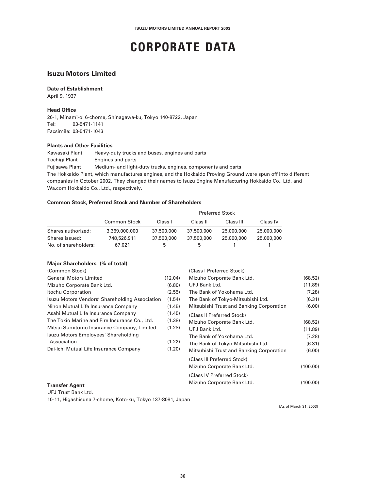## **CORPORATE DATA**

### **Isuzu Motors Limited**

#### **Date of Establishment**

April 9, 1937

#### **Head Office**

26-1, Minami-oi 6-chome, Shinagawa-ku, Tokyo 140-8722, Japan Tel: 03-5471-1141 Facsimile: 03-5471-1043

#### **Plants and Other Facilities**

Kawasaki Plant Heavy-duty trucks and buses, engines and parts Tochigi Plant Engines and parts

Fujisawa Plant Medium- and light-duty trucks, engines, components and parts The Hokkaido Plant, which manufactures engines, and the Hokkaido Proving Ground were spun off into different companies in October 2002. They changed their names to Isuzu Engine Manufacturing Hokkaido Co., Ltd. and Wa.com Hokkaido Co., Ltd., respectively.

#### **Common Stock, Preferred Stock and Number of Shareholders**

|                      |                     | <b>Preferred Stock</b> |            |            |            |  |  |
|----------------------|---------------------|------------------------|------------|------------|------------|--|--|
|                      | <b>Common Stock</b> | Class I                | Class II   | Class III  | Class IV   |  |  |
| Shares authorized:   | 3,369,000,000       | 37,500,000             | 37,500,000 | 25,000,000 | 25,000,000 |  |  |
| Shares issued:       | 748,526,911         | 37,500,000             | 37,500,000 | 25,000,000 | 25,000,000 |  |  |
| No. of shareholders: | 67,021              | b                      | h.         |            |            |  |  |

#### **Major Shareholders (% of total)**

| (Common Stock)                                 |         | (Class I Preferred Stock)                |          |
|------------------------------------------------|---------|------------------------------------------|----------|
| <b>General Motors Limited</b>                  | (12.04) | Mizuho Corporate Bank Ltd.               | (68.52)  |
| Mizuho Corporate Bank Ltd.                     | (6.80)  | UFJ Bank Ltd.                            | (11.89)  |
| Itochu Corporation                             | (2.55)  | The Bank of Yokohama Ltd.                | (7.28)   |
| Isuzu Motors Vendors' Shareholding Association | (1.54)  | The Bank of Tokyo-Mitsubishi Ltd.        | (6.31)   |
| Nihon Mutual Life Insurance Company            | (1.45)  | Mitsubishi Trust and Banking Corporation | (6.00)   |
| Asahi Mutual Life Insurance Company            | (1.45)  | (Class II Preferred Stock)               |          |
| The Tokio Marine and Fire Insurance Co., Ltd.  | (1.38)  | Mizuho Corporate Bank Ltd.               | (68.52)  |
| Mitsui Sumitomo Insurance Company, Limited     | (1.28)  | UFJ Bank Ltd.                            | (11.89)  |
| Isuzu Motors Employees' Shareholding           |         | The Bank of Yokohama Ltd.                | (7.28)   |
| Association                                    | (1.22)  | The Bank of Tokyo-Mitsubishi Ltd.        | (6.31)   |
| Dai-Ichi Mutual Life Insurance Company         | (1.20)  | Mitsubishi Trust and Banking Corporation | (6.00)   |
|                                                |         | (Class III Preferred Stock)              |          |
|                                                |         | Mizuho Corporate Bank Ltd.               | (100.00) |
|                                                |         | (Class IV Preferred Stock)               |          |
| <b>Transfer Agent</b>                          |         | Mizuho Corporate Bank Ltd.               | (100.00) |
|                                                |         |                                          |          |

UFJ Trust Bank Ltd.

10-11, Higashisuna 7-chome, Koto-ku, Tokyo 137-8081, Japan

(As of March 31, 2003)